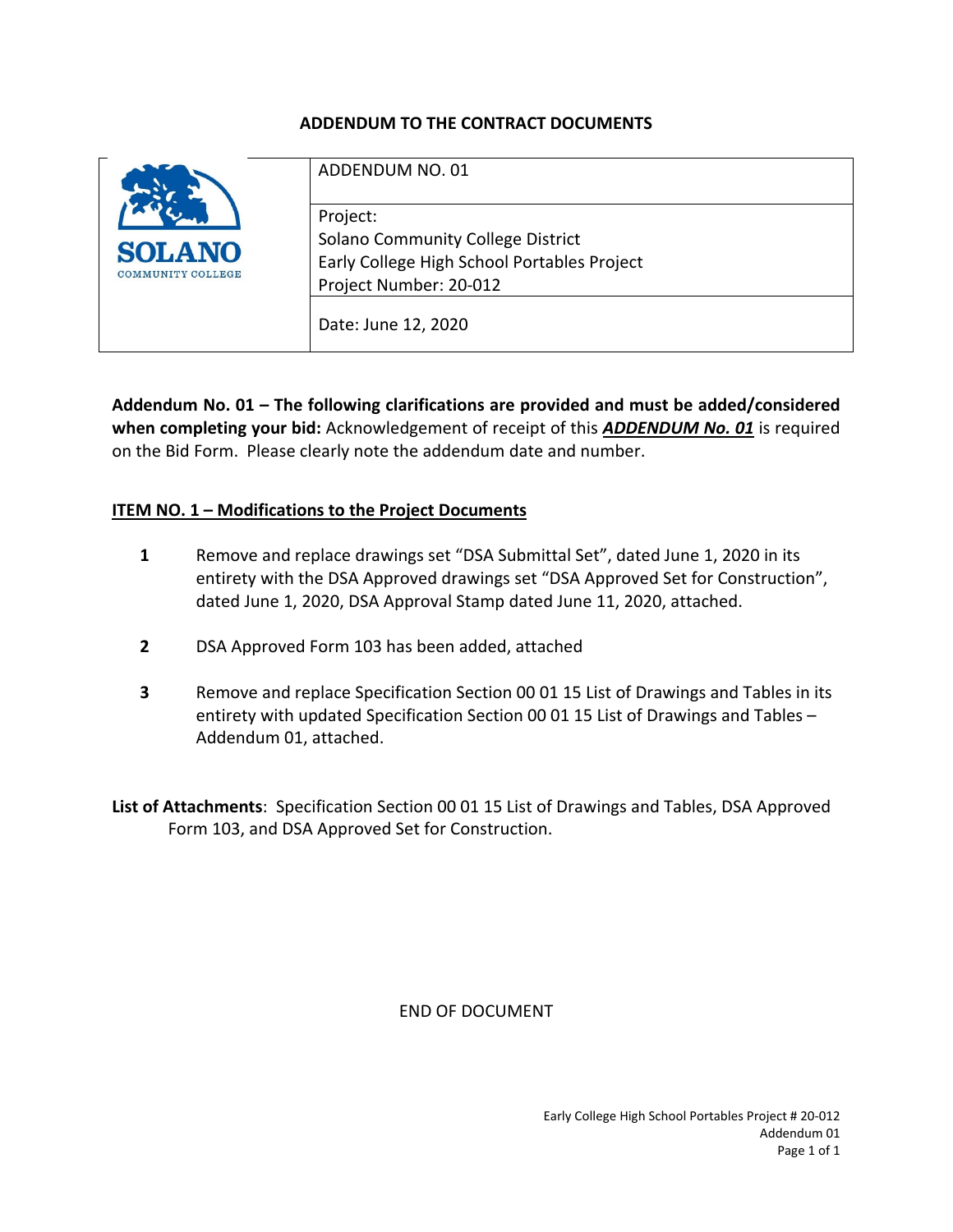#### **ADDENDUM TO THE CONTRACT DOCUMENTS**

|                                           | ADDENDUM NO. 01                                                                                                        |
|-------------------------------------------|------------------------------------------------------------------------------------------------------------------------|
| <b>SOLANO</b><br><b>COMMUNITY COLLEGE</b> | Project:<br>Solano Community College District<br>Early College High School Portables Project<br>Project Number: 20-012 |
|                                           | Date: June 12, 2020                                                                                                    |

**Addendum No. 01 – The following clarifications are provided and must be added/considered when completing your bid:** Acknowledgement of receipt of this *ADDENDUM No. 01* is required on the Bid Form. Please clearly note the addendum date and number.

#### **ITEM NO. 1 – Modifications to the Project Documents**

- **1** Remove and replace drawings set "DSA Submittal Set", dated June 1, 2020 in its entirety with the DSA Approved drawings set "DSA Approved Set for Construction", dated June 1, 2020, DSA Approval Stamp dated June 11, 2020, attached.
- **2** DSA Approved Form 103 has been added, attached
- **3** Remove and replace Specification Section 00 01 15 List of Drawings and Tables in its entirety with updated Specification Section 00 01 15 List of Drawings and Tables – Addendum 01, attached.

**List of Attachments**: Specification Section 00 01 15 List of Drawings and Tables, DSA Approved Form 103, and DSA Approved Set for Construction.

END OF DOCUMENT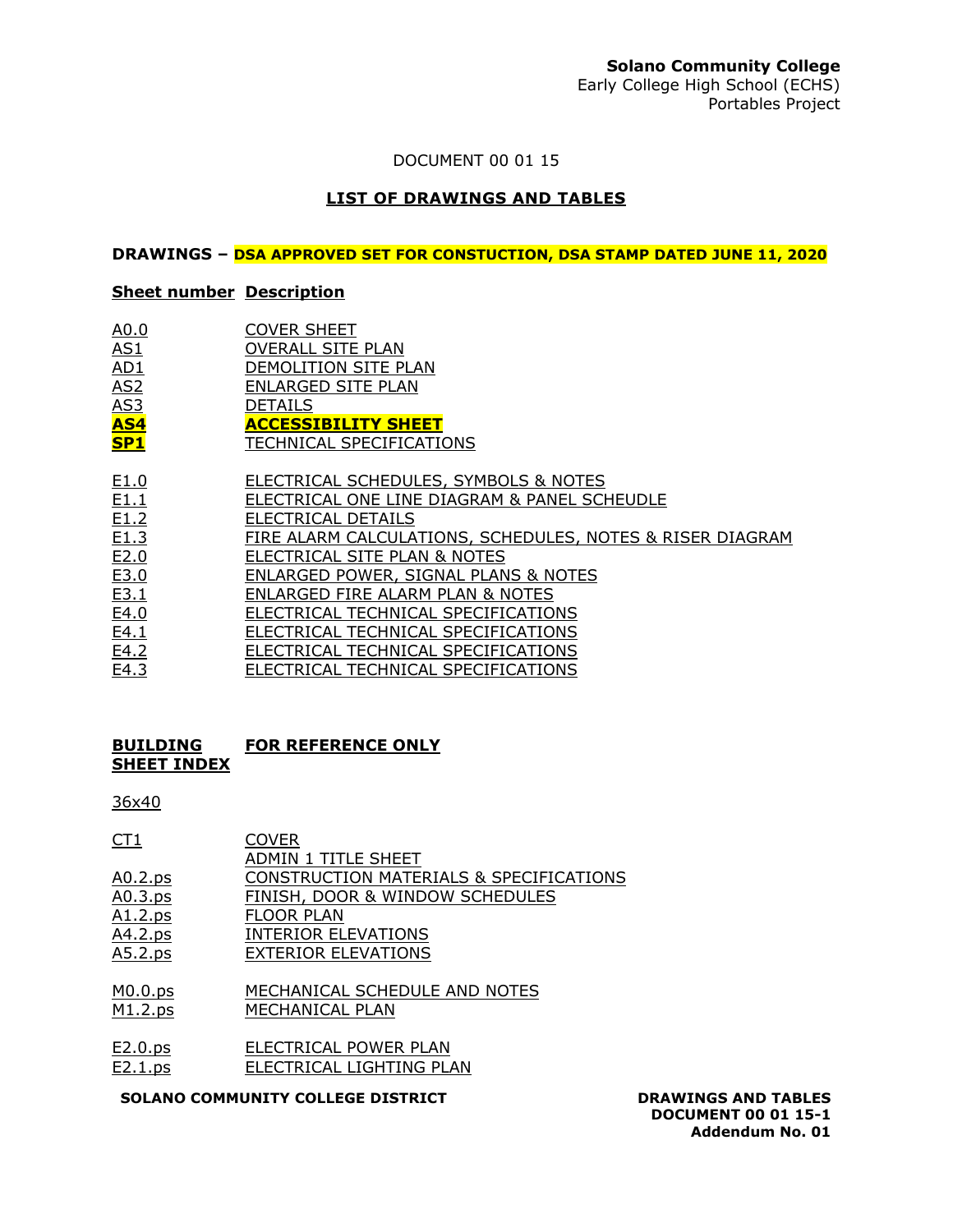### **Solano Community College**

Early College High School (ECHS) Portables Project

DOCUMENT 00 01 15

#### **LIST OF DRAWINGS AND TABLES**

#### **DRAWINGS – DSA APPROVED SET FOR CONSTUCTION, DSA STAMP DATED JUNE 11, 2020**

#### **Sheet number Description**

| A0.0 | <b>COVER SHEET</b>       |
|------|--------------------------|
| AS1  | <b>OVERALL SITE PLAN</b> |

- AD1 DEMOLITION SITE PLAN
- AS2 ENLARGED SITE PLAN
- AS3 DETAILS
- **AS4 ACCESSIBILITY SHEET**
- **SP1** TECHNICAL SPECIFICATIONS
- 
- E1.0 ELECTRICAL SCHEDULES, SYMBOLS & NOTES<br>E1.1 ELECTRICAL ONE LINE DIAGRAM & PANEL SCI ELECTRICAL ONE LINE DIAGRAM & PANEL SCHEUDLE
- E1.2 ELECTRICAL DETAILS
- E1.3 FIRE ALARM CALCULATIONS, SCHEDULES, NOTES & RISER DIAGRAM
- E2.0 ELECTRICAL SITE PLAN & NOTES
- E3.0 ENLARGED POWER, SIGNAL PLANS & NOTES<br>E3.1 ENLARGED FIRE ALARM PLAN & NOTES
- ENLARGED FIRE ALARM PLAN & NOTES
- E4.0 ELECTRICAL TECHNICAL SPECIFICATIONS
- E4.1 **ELECTRICAL TECHNICAL SPECIFICATIONS**
- E4.2 ELECTRICAL TECHNICAL SPECIFICATIONS
- E4.3 ELECTRICAL TECHNICAL SPECIFICATIONS

#### **BUILDING SHEET INDEX FOR REFERENCE ONLY**

#### 36x40

| <u>CT1</u>     | <b>COVER</b>                            |
|----------------|-----------------------------------------|
|                | ADMIN 1 TITLE SHEET                     |
| <u>A0.2.ps</u> | CONSTRUCTION MATERIALS & SPECIFICATIONS |
| <u>A0.3.ps</u> | FINISH, DOOR & WINDOW SCHEDULES         |
| A1.2.ps        | <b>FLOOR PLAN</b>                       |
| A4.2.ps        | <b>INTERIOR ELEVATIONS</b>              |
| A5.2.ps        | <b>EXTERIOR ELEVATIONS</b>              |

#### M0.0.ps MECHANICAL SCHEDULE AND NOTES M1.2.ps MECHANICAL PLAN

E2.0.ps ELECTRICAL POWER PLAN E2.1.ps ELECTRICAL LIGHTING PLAN

#### **SOLANO COMMUNITY COLLEGE DISTRICT DRAWINGS AND TABLES**

**DOCUMENT 00 01 15-1 Addendum No. 01**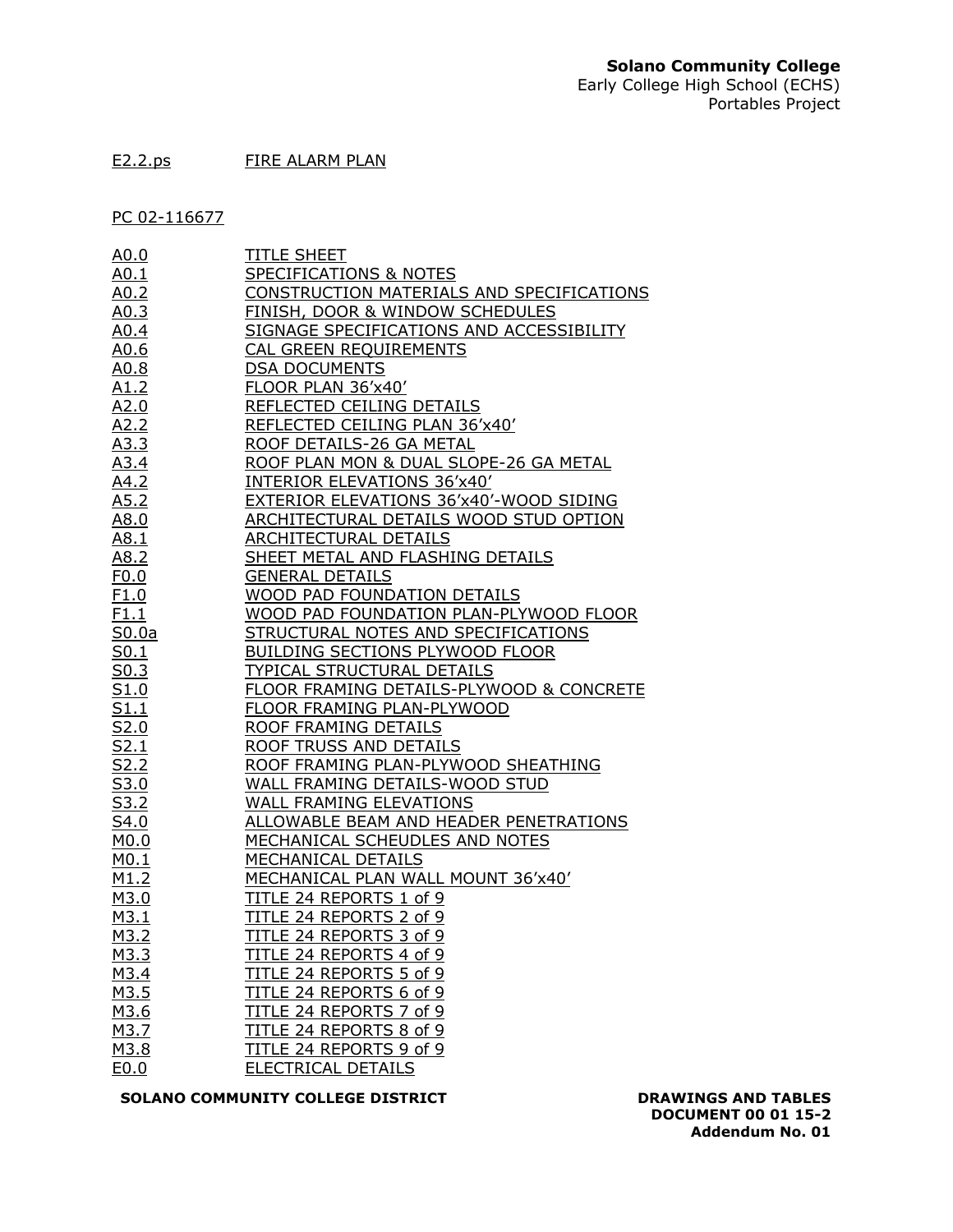#### E2.2.ps FIRE ALARM PLAN

PC 02-116677

|                                                                                                                                                                                                                                                                                                                                                                                                                                                                                                                       | <b>TITLE SHEET</b>                         |
|-----------------------------------------------------------------------------------------------------------------------------------------------------------------------------------------------------------------------------------------------------------------------------------------------------------------------------------------------------------------------------------------------------------------------------------------------------------------------------------------------------------------------|--------------------------------------------|
|                                                                                                                                                                                                                                                                                                                                                                                                                                                                                                                       | SPECIFICATIONS & NOTES                     |
|                                                                                                                                                                                                                                                                                                                                                                                                                                                                                                                       | CONSTRUCTION MATERIALS AND SPECIFICATIONS  |
|                                                                                                                                                                                                                                                                                                                                                                                                                                                                                                                       | <b>FINISH, DOOR &amp; WINDOW SCHEDULES</b> |
|                                                                                                                                                                                                                                                                                                                                                                                                                                                                                                                       | SIGNAGE SPECIFICATIONS AND ACCESSIBILITY   |
|                                                                                                                                                                                                                                                                                                                                                                                                                                                                                                                       | CAL GREEN REQUIREMENTS                     |
|                                                                                                                                                                                                                                                                                                                                                                                                                                                                                                                       | <b>DSA DOCUMENTS</b>                       |
|                                                                                                                                                                                                                                                                                                                                                                                                                                                                                                                       | FLOOR PLAN 36'x40'                         |
|                                                                                                                                                                                                                                                                                                                                                                                                                                                                                                                       | REFLECTED CEILING DETAILS                  |
|                                                                                                                                                                                                                                                                                                                                                                                                                                                                                                                       | REFLECTED CEILING PLAN 36'x40'             |
|                                                                                                                                                                                                                                                                                                                                                                                                                                                                                                                       | ROOF DETAILS-26 GA METAL                   |
|                                                                                                                                                                                                                                                                                                                                                                                                                                                                                                                       | ROOF PLAN MON & DUAL SLOPE-26 GA METAL     |
|                                                                                                                                                                                                                                                                                                                                                                                                                                                                                                                       | INTERIOR ELEVATIONS 36'x40'                |
|                                                                                                                                                                                                                                                                                                                                                                                                                                                                                                                       | EXTERIOR ELEVATIONS 36'x40'-WOOD SIDING    |
| $\begin{array}{l} \underline{\mathsf{A0.0}} \, \underline{\mathsf{A0.1}} \, \underline{\mathsf{A0.2}} \, \underline{\mathsf{A0.3}} \, \underline{\mathsf{A0.4}} \, \underline{\mathsf{A0.3}} \, \underline{\mathsf{A0.4}} \, \underline{\mathsf{A0.6}} \, \underline{\mathsf{A0.8}} \, \underline{\mathsf{A0.6}} \, \underline{\mathsf{A0.8}} \, \underline{\mathsf{A1.2}} \, \underline{\mathsf{A2.0}} \, \underline{\mathsf{A2.2}} \, \underline{\mathsf{A3.3}} \, \underline{\mathsf{A4.2}} \, \underline{\mathsf$ | ARCHITECTURAL DETAILS WOOD STUD OPTION     |
|                                                                                                                                                                                                                                                                                                                                                                                                                                                                                                                       | <b>ARCHITECTURAL DETAILS</b>               |
|                                                                                                                                                                                                                                                                                                                                                                                                                                                                                                                       | SHEET METAL AND FLASHING DETAILS           |
|                                                                                                                                                                                                                                                                                                                                                                                                                                                                                                                       | <b>GENERAL DETAILS</b>                     |
|                                                                                                                                                                                                                                                                                                                                                                                                                                                                                                                       | WOOD PAD FOUNDATION DETAILS                |
|                                                                                                                                                                                                                                                                                                                                                                                                                                                                                                                       | WOOD PAD FOUNDATION PLAN-PLYWOOD FLOOR     |
|                                                                                                                                                                                                                                                                                                                                                                                                                                                                                                                       | STRUCTURAL NOTES AND SPECIFICATIONS        |
|                                                                                                                                                                                                                                                                                                                                                                                                                                                                                                                       | <b>BUILDING SECTIONS PLYWOOD FLOOR</b>     |
|                                                                                                                                                                                                                                                                                                                                                                                                                                                                                                                       | TYPICAL STRUCTURAL DETAILS                 |
|                                                                                                                                                                                                                                                                                                                                                                                                                                                                                                                       | FLOOR FRAMING DETAILS-PLYWOOD & CONCRETE   |
|                                                                                                                                                                                                                                                                                                                                                                                                                                                                                                                       | FLOOR FRAMING PLAN-PLYWOOD                 |
|                                                                                                                                                                                                                                                                                                                                                                                                                                                                                                                       | ROOF FRAMING DETAILS                       |
|                                                                                                                                                                                                                                                                                                                                                                                                                                                                                                                       | ROOF TRUSS AND DETAILS                     |
|                                                                                                                                                                                                                                                                                                                                                                                                                                                                                                                       | ROOF FRAMING PLAN-PLYWOOD SHEATHING        |
|                                                                                                                                                                                                                                                                                                                                                                                                                                                                                                                       | WALL FRAMING DETAILS-WOOD STUD             |
|                                                                                                                                                                                                                                                                                                                                                                                                                                                                                                                       | WALL FRAMING ELEVATIONS                    |
|                                                                                                                                                                                                                                                                                                                                                                                                                                                                                                                       | ALLOWABLE BEAM AND HEADER PENETRATIONS     |
|                                                                                                                                                                                                                                                                                                                                                                                                                                                                                                                       | MECHANICAL SCHEUDLES AND NOTES             |
|                                                                                                                                                                                                                                                                                                                                                                                                                                                                                                                       | MECHANICAL DETAILS                         |
|                                                                                                                                                                                                                                                                                                                                                                                                                                                                                                                       | MECHANICAL PLAN WALL MOUNT 36'x40'         |
|                                                                                                                                                                                                                                                                                                                                                                                                                                                                                                                       | TITLE 24 REPORTS 1 of 9                    |
|                                                                                                                                                                                                                                                                                                                                                                                                                                                                                                                       | TITLE 24 REPORTS 2 of 9                    |
|                                                                                                                                                                                                                                                                                                                                                                                                                                                                                                                       | TITLE 24 REPORTS 3 of 9                    |
| M3.3                                                                                                                                                                                                                                                                                                                                                                                                                                                                                                                  | TITLE 24 REPORTS 4 of 9                    |
| M3.4                                                                                                                                                                                                                                                                                                                                                                                                                                                                                                                  | TITLE 24 REPORTS 5 of 9                    |
| M3.5                                                                                                                                                                                                                                                                                                                                                                                                                                                                                                                  | TITLE 24 REPORTS 6 of 9                    |
| M3.6                                                                                                                                                                                                                                                                                                                                                                                                                                                                                                                  | TITLE 24 REPORTS 7 of 9                    |
| M3.7                                                                                                                                                                                                                                                                                                                                                                                                                                                                                                                  | TITLE 24 REPORTS 8 of 9                    |
| M3.8                                                                                                                                                                                                                                                                                                                                                                                                                                                                                                                  | TITLE 24 REPORTS 9 of 9                    |
| E0.0                                                                                                                                                                                                                                                                                                                                                                                                                                                                                                                  | ELECTRICAL DETAILS                         |

**SOLANO COMMUNITY COLLEGE DISTRICT DRAWINGS AND TABLES** 

**DOCUMENT 00 01 15-2 Addendum No. 01**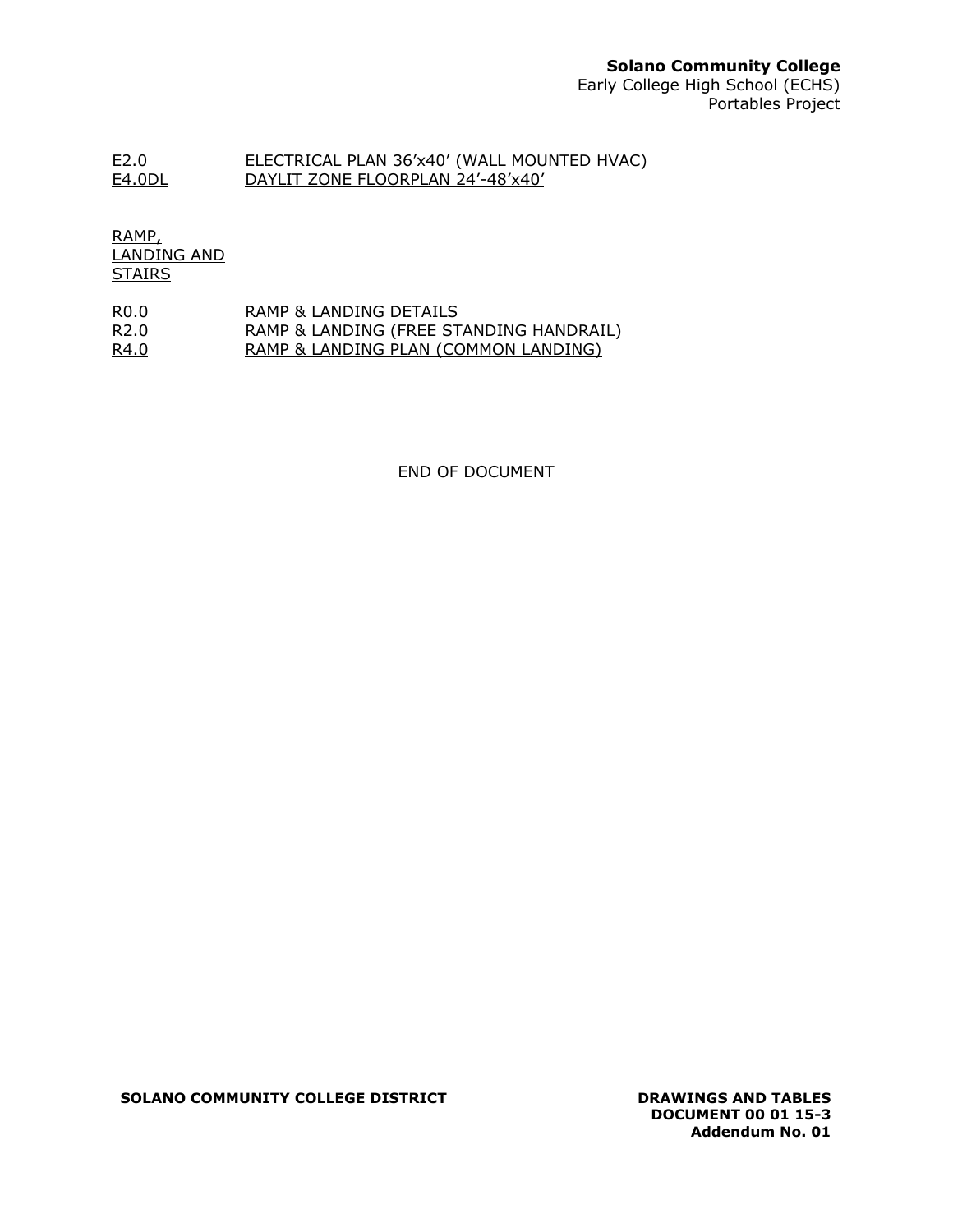### **Solano Community College**

Early College High School (ECHS) Portables Project

#### E2.0 ELECTRICAL PLAN 36'x40' (WALL MOUNTED HVAC) E4.0DL DAYLIT ZONE FLOORPLAN 24'-48'x40'

RAMP, LANDING AND **STAIRS** 

| R0.0 | RAMP & LANDING DETAILS                  |
|------|-----------------------------------------|
| R2.0 | RAMP & LANDING (FREE STANDING HANDRAIL) |
| R4.0 | RAMP & LANDING PLAN (COMMON LANDING)    |

END OF DOCUMENT

**SOLANO COMMUNITY COLLEGE DISTRICT DRAWINGS AND TABLES** 

**DOCUMENT 00 01 15-3 Addendum No. 01**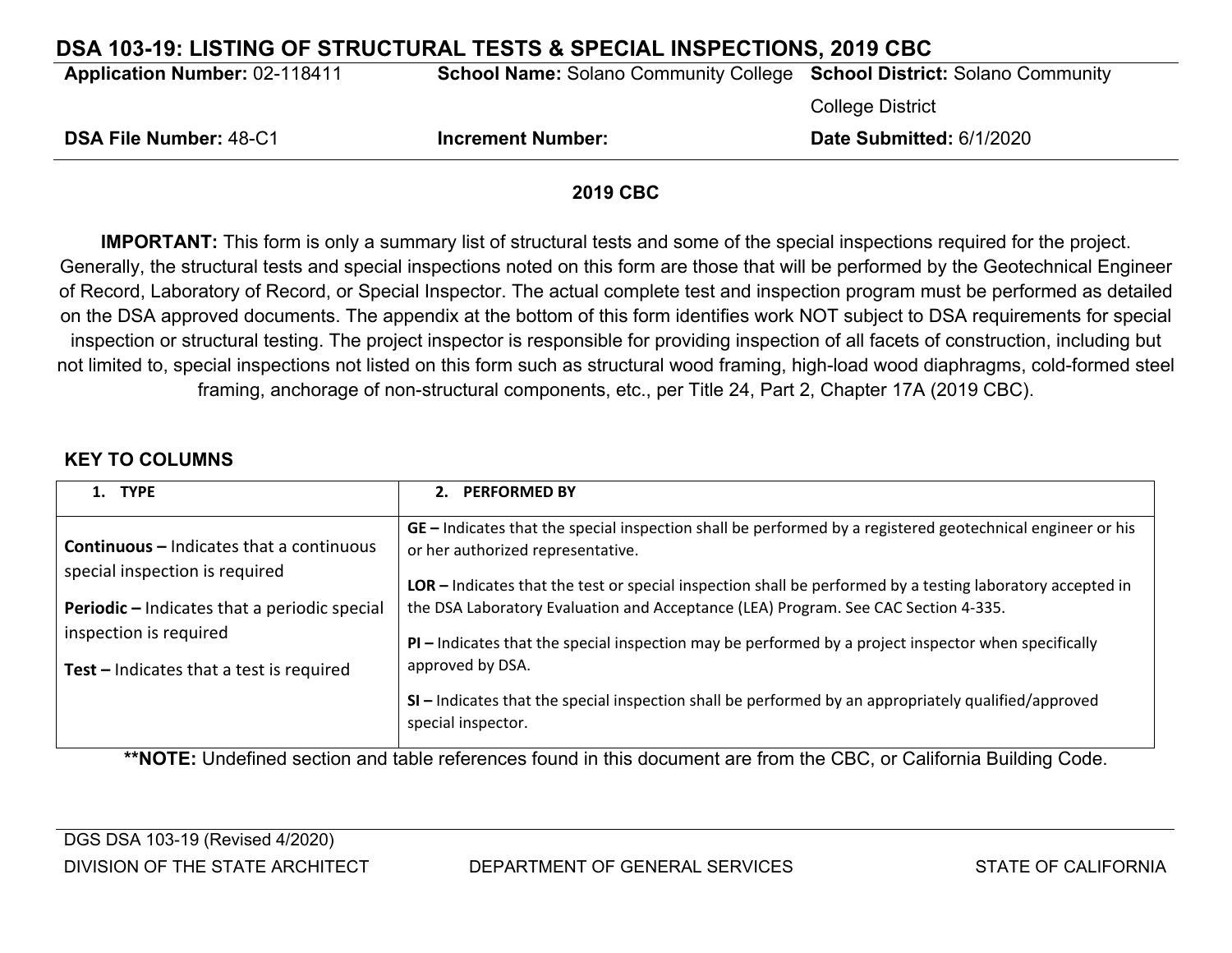## **DSA 103-19: LISTING OF STRUCTURAL TESTS & SPECIAL INSPECTIONS, 2019 CBC**

**Application Number:** 02-118411 **School Name:** Solano Community College **School District:** Solano Community

College District

| <b>DSA File Number: 48-C1</b> | <b>Increment Number:</b> | Date Submitted: 6/1/2020 |
|-------------------------------|--------------------------|--------------------------|
|-------------------------------|--------------------------|--------------------------|

### **2019 CBC**

**IMPORTANT:** This form is only a summary list of structural tests and some of the special inspections required for the project. Generally, the structural tests and special inspections noted on this form are those that will be performed by the Geotechnical Engineer of Record, Laboratory of Record, or Special Inspector. The actual complete test and inspection program must be performed as detailed on the DSA approved documents. The appendix at the bottom of this form identifies work NOT subject to DSA requirements for special inspection or structural testing. The project inspector is responsible for providing inspection of all facets of construction, including but not limited to, special inspections not listed on this form such as structural wood framing, high-load wood diaphragms, cold-formed steel framing, anchorage of non-structural components, etc., per Title 24, Part 2, Chapter 17A (2019 CBC).

### **KEY TO COLUMNS**

| 1. TYPE                                                                           | <b>PERFORMED BY</b><br>2.                                                                                                                       |
|-----------------------------------------------------------------------------------|-------------------------------------------------------------------------------------------------------------------------------------------------|
| <b>Continuous - Indicates that a continuous</b><br>special inspection is required | GE – Indicates that the special inspection shall be performed by a registered geotechnical engineer or his<br>or her authorized representative. |
|                                                                                   | LOR – Indicates that the test or special inspection shall be performed by a testing laboratory accepted in                                      |
| <b>Periodic</b> – Indicates that a periodic special                               | the DSA Laboratory Evaluation and Acceptance (LEA) Program. See CAC Section 4-335.                                                              |
| inspection is required                                                            | $PI$ – Indicates that the special inspection may be performed by a project inspector when specifically                                          |
| Test $-$ Indicates that a test is required                                        | approved by DSA.                                                                                                                                |
|                                                                                   | SI - Indicates that the special inspection shall be performed by an appropriately qualified/approved<br>special inspector.                      |

**\*\*NOTE:** Undefined section and table references found in this document are from the CBC, or California Building Code.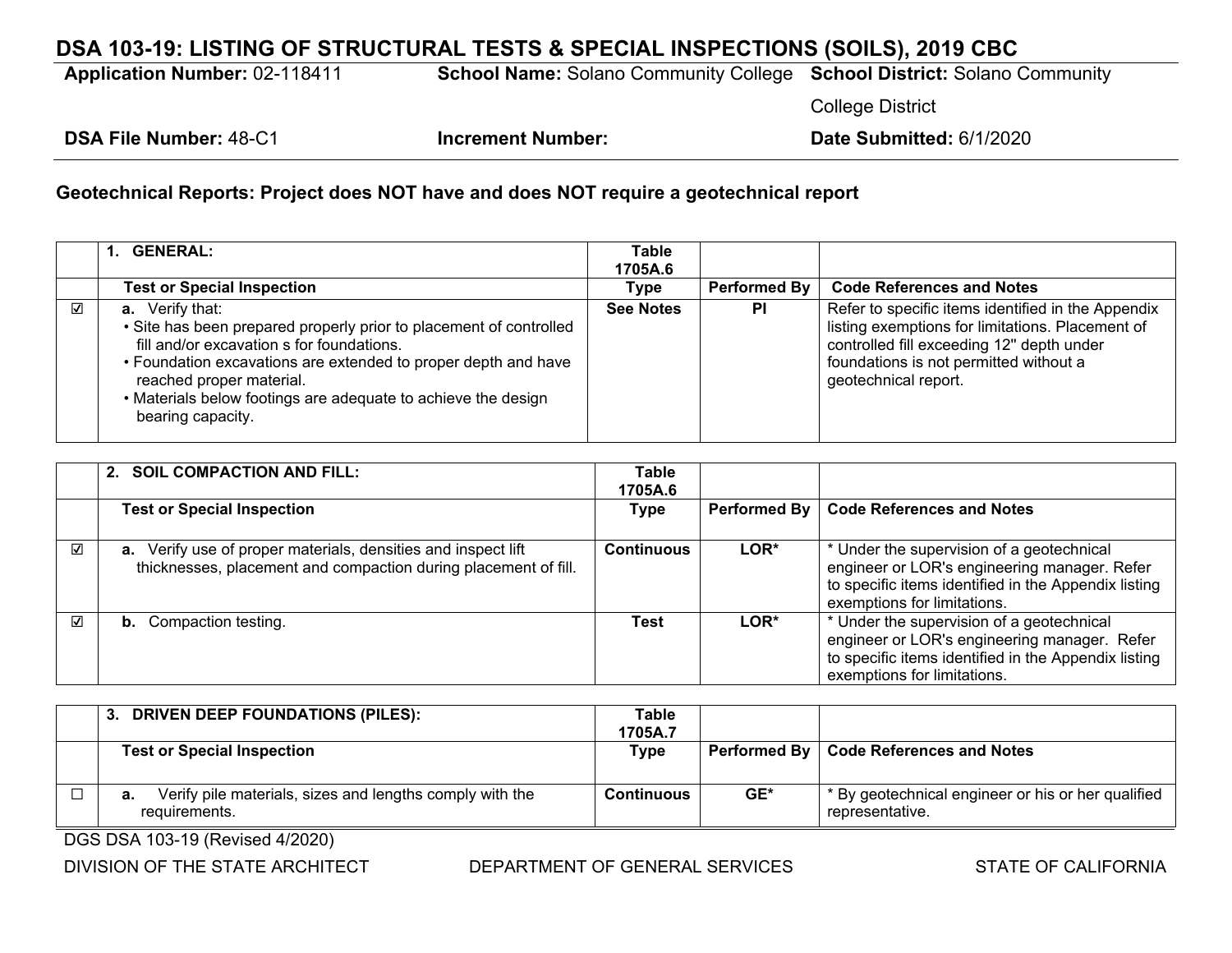## **DSA 103-19: LISTING OF STRUCTURAL TESTS & SPECIAL INSPECTIONS (SOILS), 2019 CBC**

**Application Number:** 02-118411 **School Name:** Solano Community College **School District:** Solano Community

College District

**DSA File Number:** 48-C1 **Increment Number: Date Submitted:** 6/1/2020

### **Geotechnical Reports: Project does NOT have and does NOT require a geotechnical report**

|   | 1. GENERAL:                                                                                                                                                                                                                                                                                                                   | <b>Table</b>     |              |                                                                                                                                                                                                                       |
|---|-------------------------------------------------------------------------------------------------------------------------------------------------------------------------------------------------------------------------------------------------------------------------------------------------------------------------------|------------------|--------------|-----------------------------------------------------------------------------------------------------------------------------------------------------------------------------------------------------------------------|
|   |                                                                                                                                                                                                                                                                                                                               | 1705A.6          |              |                                                                                                                                                                                                                       |
|   | <b>Test or Special Inspection</b>                                                                                                                                                                                                                                                                                             | Type             | Performed By | <b>Code References and Notes</b>                                                                                                                                                                                      |
| ⊽ | <b>a.</b> Verify that:<br>• Site has been prepared properly prior to placement of controlled<br>fill and/or excavation s for foundations.<br>• Foundation excavations are extended to proper depth and have<br>reached proper material.<br>• Materials below footings are adequate to achieve the design<br>bearing capacity. | <b>See Notes</b> | <b>PI</b>    | Refer to specific items identified in the Appendix<br>listing exemptions for limitations. Placement of<br>controlled fill exceeding 12" depth under<br>foundations is not permitted without a<br>geotechnical report. |

|   | 2. SOIL COMPACTION AND FILL:                                                                                                     | Table<br>1705A.6  |              |                                                                                                                                                                                  |
|---|----------------------------------------------------------------------------------------------------------------------------------|-------------------|--------------|----------------------------------------------------------------------------------------------------------------------------------------------------------------------------------|
|   | <b>Test or Special Inspection</b>                                                                                                | <b>Type</b>       | Performed By | <b>Code References and Notes</b>                                                                                                                                                 |
| ☑ | a. Verify use of proper materials, densities and inspect lift<br>thicknesses, placement and compaction during placement of fill. | <b>Continuous</b> | LOR*         | * Under the supervision of a geotechnical<br>engineer or LOR's engineering manager. Refer<br>to specific items identified in the Appendix listing<br>exemptions for limitations. |
| ☑ | <b>b.</b> Compaction testing.                                                                                                    | Test              | LOR*         | * Under the supervision of a geotechnical<br>engineer or LOR's engineering manager. Refer<br>to specific items identified in the Appendix listing<br>exemptions for limitations. |

| 3. DRIVEN DEEP FOUNDATIONS (PILES):                                             | Table<br>1705A.7 |     |                                                                       |
|---------------------------------------------------------------------------------|------------------|-----|-----------------------------------------------------------------------|
| <b>Test or Special Inspection</b>                                               | Type             |     | Performed By   Code References and Notes                              |
| Verify pile materials, sizes and lengths comply with the<br>а.<br>requirements. | Continuous       | GE* | * By geotechnical engineer or his or her qualified<br>representative. |

DGS DSA 103-19 (Revised 4/2020)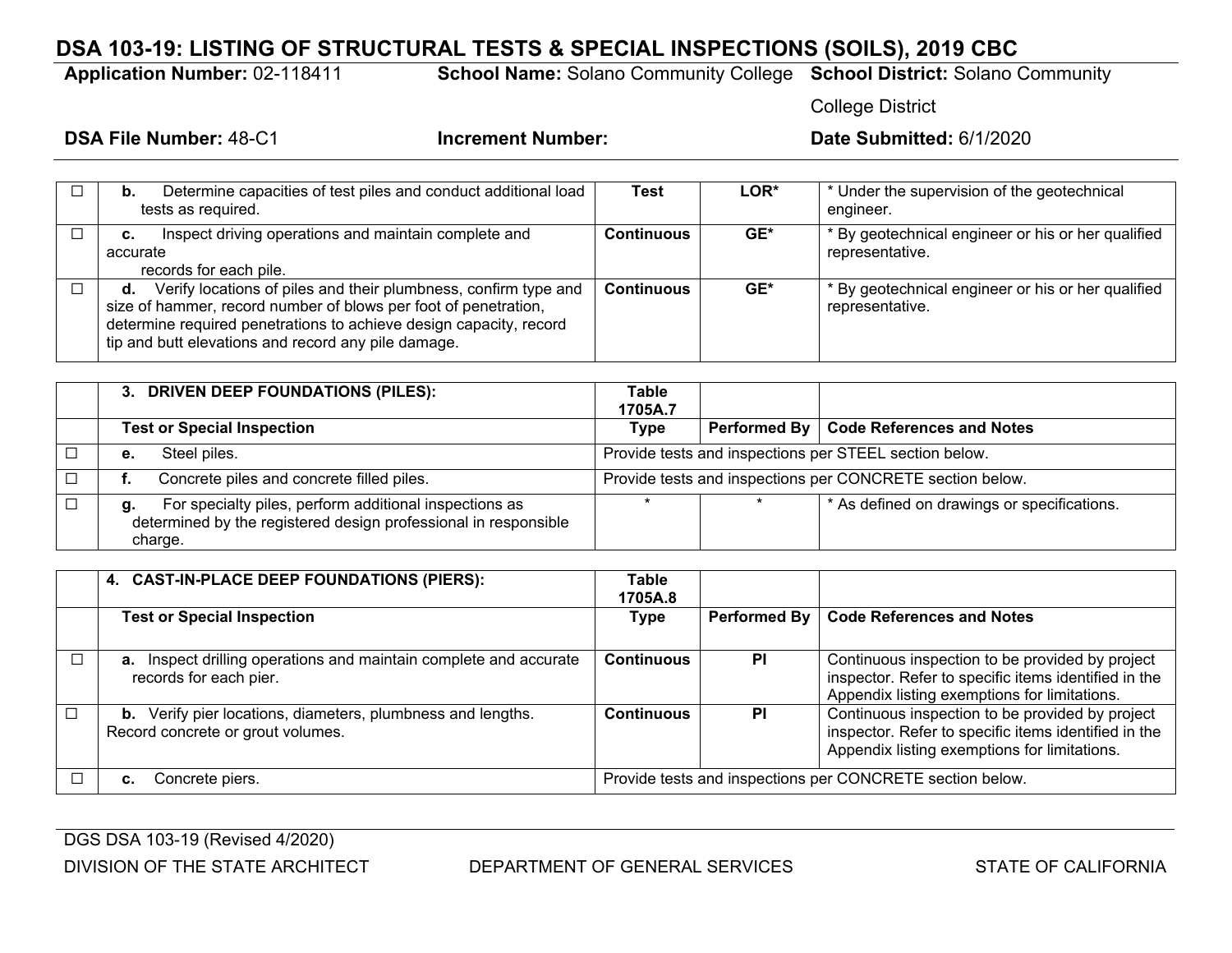## **DSA 103-19: LISTING OF STRUCTURAL TESTS & SPECIAL INSPECTIONS (SOILS), 2019 CBC**

**Application Number:** 02-118411 **School Name:** Solano Community College **School District:** Solano Community

College District

| Determine capacities of test piles and conduct additional load<br>b.<br>tests as required.                                                                                                                                                                            | Test              | <b>LOR*</b> | * Under the supervision of the geotechnical<br>engineer.              |
|-----------------------------------------------------------------------------------------------------------------------------------------------------------------------------------------------------------------------------------------------------------------------|-------------------|-------------|-----------------------------------------------------------------------|
| Inspect driving operations and maintain complete and<br>с.<br>accurate<br>records for each pile.                                                                                                                                                                      | <b>Continuous</b> | GE*         | * By geotechnical engineer or his or her qualified<br>representative. |
| Verify locations of piles and their plumbness, confirm type and<br>d.<br>size of hammer, record number of blows per foot of penetration,<br>determine required penetrations to achieve design capacity, record<br>tip and butt elevations and record any pile damage. | <b>Continuous</b> | GE*         | * By geotechnical engineer or his or her qualified<br>representative. |

| 3. DRIVEN DEEP FOUNDATIONS (PILES):                                                                                                        | <b>Table</b><br>1705A.7 |                                                           |
|--------------------------------------------------------------------------------------------------------------------------------------------|-------------------------|-----------------------------------------------------------|
| <b>Test or Special Inspection</b>                                                                                                          | Type                    | Performed By   Code References and Notes                  |
| Steel piles.<br>е.                                                                                                                         |                         | Provide tests and inspections per STEEL section below.    |
| Concrete piles and concrete filled piles.                                                                                                  |                         | Provide tests and inspections per CONCRETE section below. |
| For specialty piles, perform additional inspections as<br>g.<br>determined by the registered design professional in responsible<br>charge. |                         | * As defined on drawings or specifications.               |

|        | 4. CAST-IN-PLACE DEEP FOUNDATIONS (PIERS):                                                              | Table<br>1705A.8                                          |              |                                                                                                                                                         |  |
|--------|---------------------------------------------------------------------------------------------------------|-----------------------------------------------------------|--------------|---------------------------------------------------------------------------------------------------------------------------------------------------------|--|
|        | <b>Test or Special Inspection</b>                                                                       | Type                                                      | Performed By | <b>Code References and Notes</b>                                                                                                                        |  |
|        | <b>a.</b> Inspect drilling operations and maintain complete and accurate<br>records for each pier.      | <b>Continuous</b>                                         | <b>PI</b>    | Continuous inspection to be provided by project<br>inspector. Refer to specific items identified in the<br>Appendix listing exemptions for limitations. |  |
| $\Box$ | <b>b.</b> Verify pier locations, diameters, plumbness and lengths.<br>Record concrete or grout volumes. | <b>Continuous</b>                                         | <b>PI</b>    | Continuous inspection to be provided by project<br>inspector. Refer to specific items identified in the<br>Appendix listing exemptions for limitations. |  |
|        | Concrete piers.                                                                                         | Provide tests and inspections per CONCRETE section below. |              |                                                                                                                                                         |  |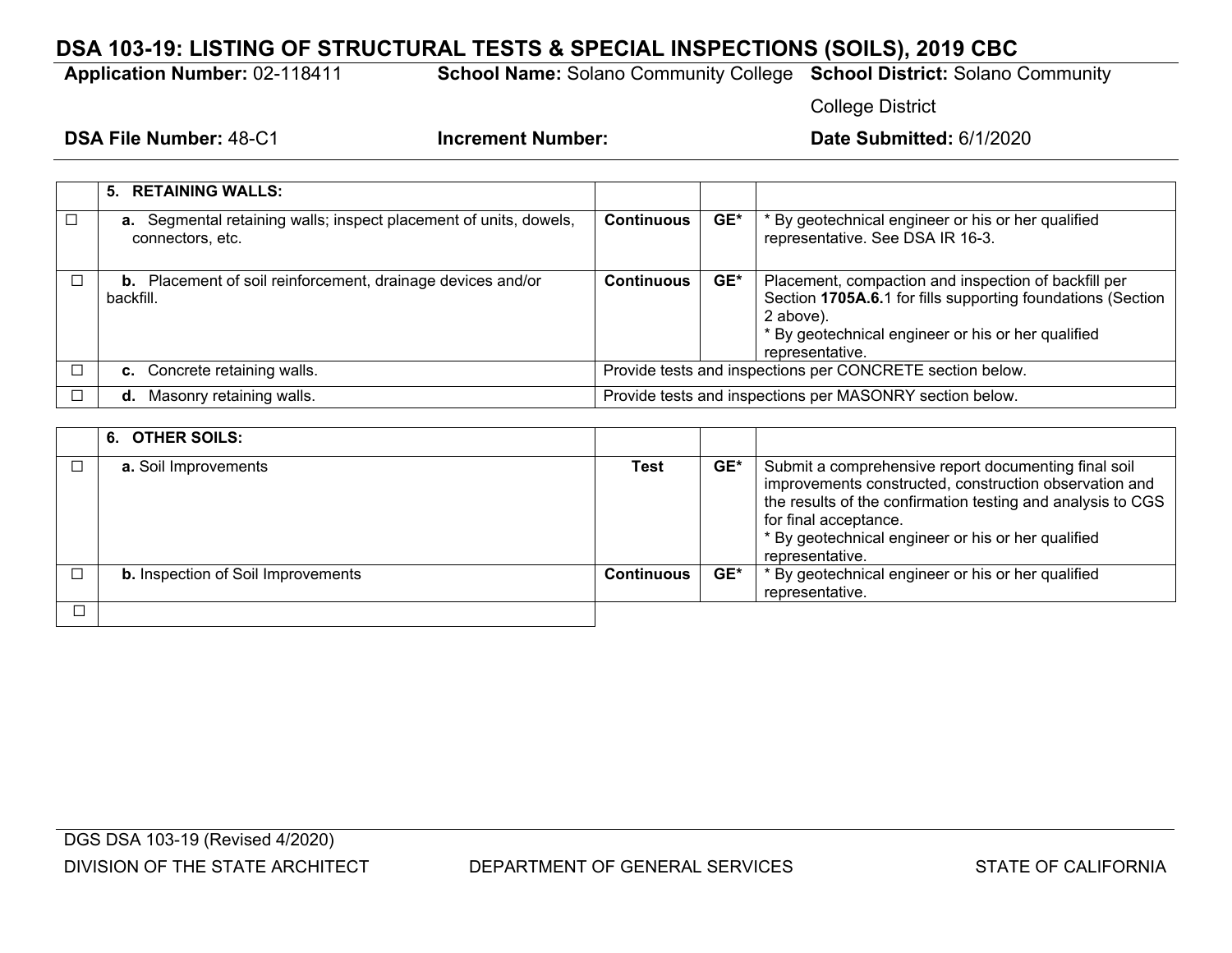## **DSA 103-19: LISTING OF STRUCTURAL TESTS & SPECIAL INSPECTIONS (SOILS), 2019 CBC**

**Application Number:** 02-118411 **School Name:** Solano Community College **School District:** Solano Community

College District

| 5. RETAINING WALLS:                                                                          |                                                           |     |                                                                                                                                                                                                           |
|----------------------------------------------------------------------------------------------|-----------------------------------------------------------|-----|-----------------------------------------------------------------------------------------------------------------------------------------------------------------------------------------------------------|
| <b>a.</b> Segmental retaining walls; inspect placement of units, dowels,<br>connectors, etc. | <b>Continuous</b>                                         | GE* | * By geotechnical engineer or his or her qualified<br>representative. See DSA IR 16-3.                                                                                                                    |
| <b>b.</b> Placement of soil reinforcement, drainage devices and/or<br>backfill.              | <b>Continuous</b>                                         | GE* | Placement, compaction and inspection of backfill per<br>Section 1705A.6.1 for fills supporting foundations (Section<br>2 above).<br>* By geotechnical engineer or his or her qualified<br>representative. |
| c. Concrete retaining walls.                                                                 | Provide tests and inspections per CONCRETE section below. |     |                                                                                                                                                                                                           |
| Masonry retaining walls.<br>d.                                                               | Provide tests and inspections per MASONRY section below.  |     |                                                                                                                                                                                                           |

| 6. OTHER SOILS:                           |                   |     |                                                                                                                                                                                                                                                                                 |
|-------------------------------------------|-------------------|-----|---------------------------------------------------------------------------------------------------------------------------------------------------------------------------------------------------------------------------------------------------------------------------------|
| a. Soil Improvements                      | Test              | GE* | Submit a comprehensive report documenting final soil<br>improvements constructed, construction observation and<br>the results of the confirmation testing and analysis to CGS<br>for final acceptance.<br>* By geotechnical engineer or his or her qualified<br>representative. |
| <b>b.</b> Inspection of Soil Improvements | <b>Continuous</b> | GE* | * By geotechnical engineer or his or her qualified<br>representative.                                                                                                                                                                                                           |
|                                           |                   |     |                                                                                                                                                                                                                                                                                 |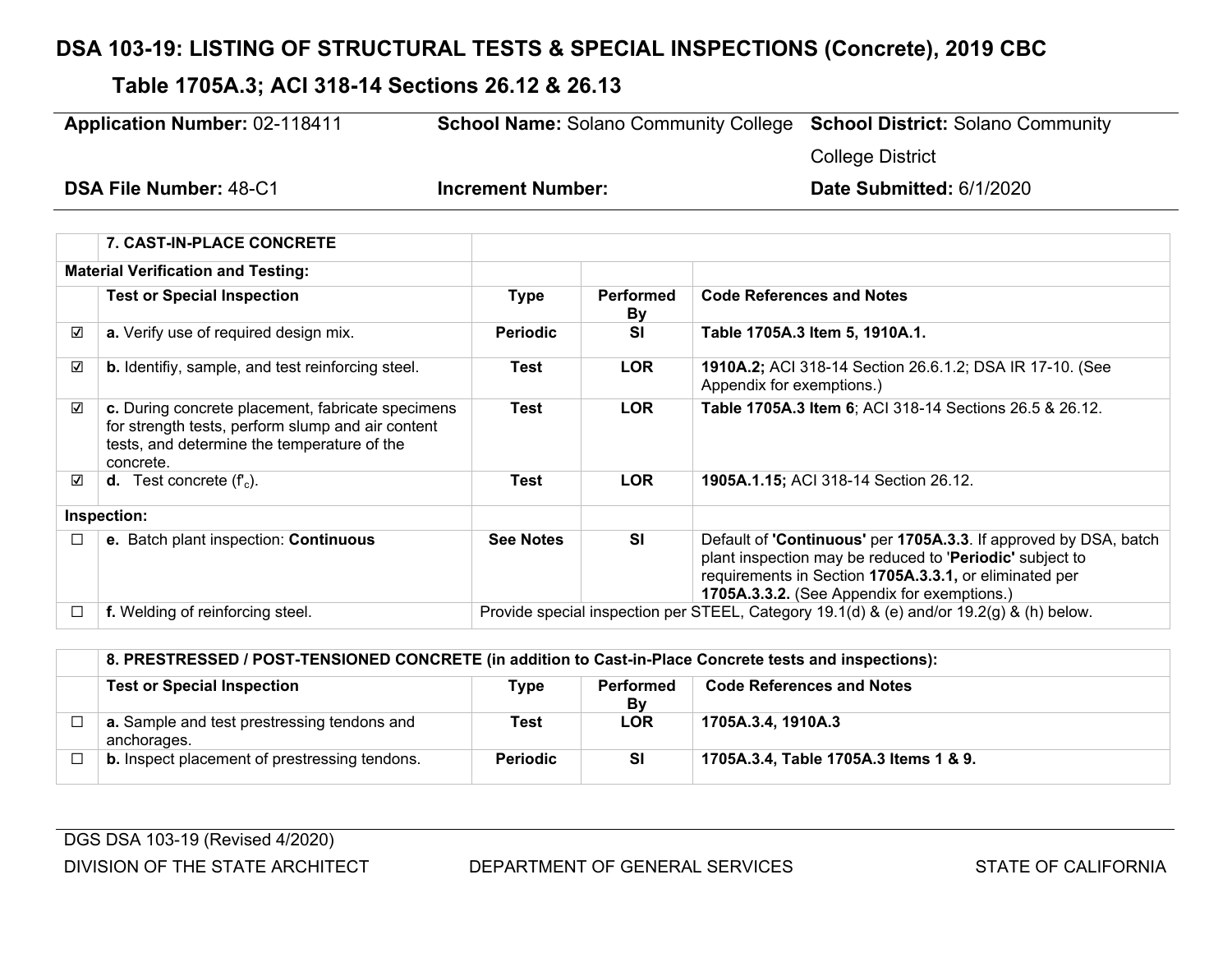# **DSA 103-19: LISTING OF STRUCTURAL TESTS & SPECIAL INSPECTIONS (Concrete), 2019 CBC**

# **Table 1705A.3; ACI 318-14 Sections 26.12 & 26.13**

| <b>Application Number: 02-118411</b> |                                                                                                                                                                    | <b>School Name: Solano Community College</b>                                             |                               | <b>School District: Solano Community</b>                                                                                                                                                                                              |  |
|--------------------------------------|--------------------------------------------------------------------------------------------------------------------------------------------------------------------|------------------------------------------------------------------------------------------|-------------------------------|---------------------------------------------------------------------------------------------------------------------------------------------------------------------------------------------------------------------------------------|--|
|                                      |                                                                                                                                                                    |                                                                                          |                               | <b>College District</b>                                                                                                                                                                                                               |  |
|                                      | <b>DSA File Number: 48-C1</b>                                                                                                                                      | <b>Increment Number:</b>                                                                 |                               | Date Submitted: 6/1/2020                                                                                                                                                                                                              |  |
|                                      | 7. CAST-IN-PLACE CONCRETE                                                                                                                                          |                                                                                          |                               |                                                                                                                                                                                                                                       |  |
|                                      | <b>Material Verification and Testing:</b>                                                                                                                          |                                                                                          |                               |                                                                                                                                                                                                                                       |  |
|                                      | <b>Test or Special Inspection</b>                                                                                                                                  | <b>Type</b>                                                                              | <b>Performed</b><br><b>By</b> | <b>Code References and Notes</b>                                                                                                                                                                                                      |  |
| ☑                                    | a. Verify use of required design mix.                                                                                                                              | <b>Periodic</b>                                                                          | <b>SI</b>                     | Table 1705A.3 Item 5, 1910A.1.                                                                                                                                                                                                        |  |
| ☑                                    | <b>b.</b> Identifiy, sample, and test reinforcing steel.                                                                                                           | Test                                                                                     | <b>LOR</b>                    | 1910A.2; ACI 318-14 Section 26.6.1.2; DSA IR 17-10. (See<br>Appendix for exemptions.)                                                                                                                                                 |  |
| ☑                                    | c. During concrete placement, fabricate specimens<br>for strength tests, perform slump and air content<br>tests, and determine the temperature of the<br>concrete. | Test                                                                                     | <b>LOR</b>                    | Table 1705A.3 Item 6; ACI 318-14 Sections 26.5 & 26.12.                                                                                                                                                                               |  |
| ☑                                    | <b>d.</b> Test concrete $(f_c)$ .                                                                                                                                  | Test                                                                                     | <b>LOR</b>                    | 1905A.1.15; ACI 318-14 Section 26.12.                                                                                                                                                                                                 |  |
|                                      | Inspection:                                                                                                                                                        |                                                                                          |                               |                                                                                                                                                                                                                                       |  |
| $\Box$                               | e. Batch plant inspection: Continuous                                                                                                                              | <b>See Notes</b>                                                                         | SI                            | Default of 'Continuous' per 1705A.3.3. If approved by DSA, batch<br>plant inspection may be reduced to 'Periodic' subject to<br>requirements in Section 1705A.3.3.1, or eliminated per<br>1705A.3.3.2. (See Appendix for exemptions.) |  |
| □                                    | f. Welding of reinforcing steel.                                                                                                                                   | Provide special inspection per STEEL, Category 19.1(d) & (e) and/or 19.2(g) & (h) below. |                               |                                                                                                                                                                                                                                       |  |

|        | 8. PRESTRESSED / POST-TENSIONED CONCRETE (in addition to Cast-in-Place Concrete tests and inspections): |                 |                 |                                       |  |  |
|--------|---------------------------------------------------------------------------------------------------------|-----------------|-----------------|---------------------------------------|--|--|
|        | <b>Test or Special Inspection</b>                                                                       | Type            | Performed<br>Bv | <b>Code References and Notes</b>      |  |  |
|        | a. Sample and test prestressing tendons and<br>anchorages.                                              | Test            | <b>LOR</b>      | 1705A.3.4, 1910A.3                    |  |  |
| $\Box$ | <b>b.</b> Inspect placement of prestressing tendons.                                                    | <b>Periodic</b> | <b>SI</b>       | 1705A.3.4, Table 1705A.3 Items 1 & 9. |  |  |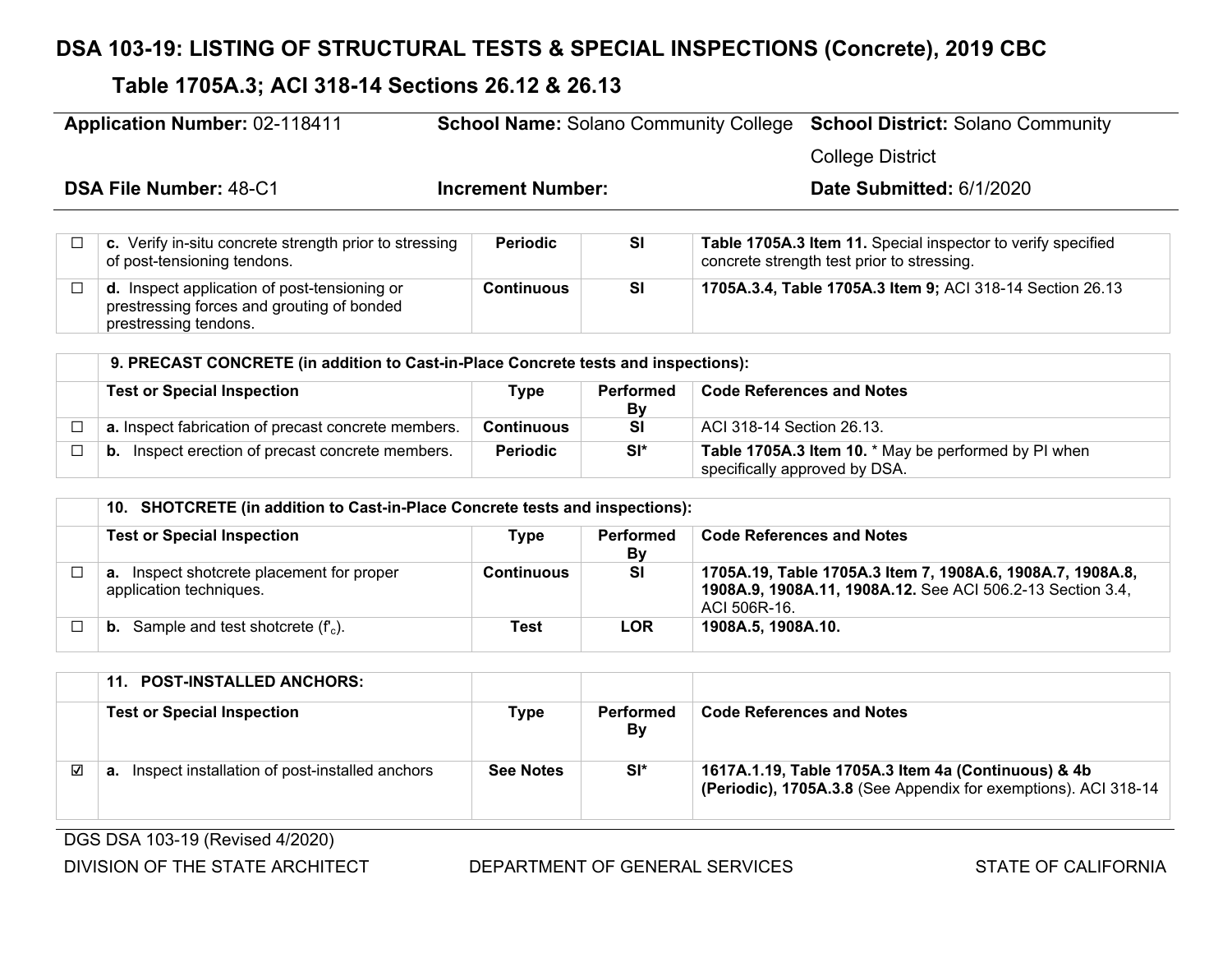# **DSA 103-19: LISTING OF STRUCTURAL TESTS & SPECIAL INSPECTIONS (Concrete), 2019 CBC**

# **Table 1705A.3; ACI 318-14 Sections 26.12 & 26.13**

| <b>Application Number: 02-118411</b>                                                                                       | <b>School Name: Solano Community College</b> |                               |                           | <b>School District: Solano Community</b>                                                                   |
|----------------------------------------------------------------------------------------------------------------------------|----------------------------------------------|-------------------------------|---------------------------|------------------------------------------------------------------------------------------------------------|
|                                                                                                                            |                                              |                               |                           | <b>College District</b>                                                                                    |
| <b>DSA File Number: 48-C1</b>                                                                                              | <b>Increment Number:</b>                     |                               |                           | Date Submitted: 6/1/2020                                                                                   |
| c. Verify in-situ concrete strength prior to stressing<br>of post-tensioning tendons.                                      | <b>Periodic</b>                              | <b>SI</b>                     |                           | Table 1705A.3 Item 11. Special inspector to verify specified<br>concrete strength test prior to stressing. |
| <b>d.</b> Inspect application of post-tensioning or<br>prestressing forces and grouting of bonded<br>prestressing tendons. | <b>Continuous</b>                            | <b>SI</b>                     |                           | 1705A.3.4, Table 1705A.3 Item 9; ACI 318-14 Section 26.13                                                  |
| 9. PRECAST CONCRETE (in addition to Cast-in-Place Concrete tests and inspections):                                         |                                              |                               |                           |                                                                                                            |
| <b>Test or Special Inspection</b>                                                                                          | <b>Type</b>                                  | <b>Performed</b><br><b>By</b> |                           | <b>Code References and Notes</b>                                                                           |
| a. Inspect fabrication of precast concrete members.                                                                        | <b>Continuous</b>                            | <b>SI</b>                     | ACI 318-14 Section 26.13. |                                                                                                            |
| Inspect erection of precast concrete members.<br>b.                                                                        | <b>Periodic</b>                              | $SI^*$                        |                           | Table 1705A.3 Item 10. * May be performed by PI when<br>specifically approved by DSA.                      |

| 10. SHOTCRETE (in addition to Cast-in-Place Concrete tests and inspections): |            |                 |                                                                                                                                          |  |
|------------------------------------------------------------------------------|------------|-----------------|------------------------------------------------------------------------------------------------------------------------------------------|--|
| <b>Test or Special Inspection</b>                                            | Type       | Performed<br>Bv | <b>Code References and Notes</b>                                                                                                         |  |
| <b>a.</b> Inspect shotcrete placement for proper<br>application techniques.  | Continuous | <b>SI</b>       | 1705A.19, Table 1705A.3 Item 7, 1908A.6, 1908A.7, 1908A.8,<br>1908A.9, 1908A.11, 1908A.12. See ACI 506.2-13 Section 3.4,<br>ACI 506R-16. |  |
| <b>b.</b> Sample and test shotcrete $(f_c)$ .                                | Test       | <b>LOR</b>      | 1908A.5, 1908A.10.                                                                                                                       |  |

|   | 11. POST-INSTALLED ANCHORS:                          |                  |                 |                                                                                                                        |
|---|------------------------------------------------------|------------------|-----------------|------------------------------------------------------------------------------------------------------------------------|
|   | <b>Test or Special Inspection</b>                    | Type             | Performed<br>Bv | <b>Code References and Notes</b>                                                                                       |
| ☑ | Inspect installation of post-installed anchors<br>а. | <b>See Notes</b> | SI*             | 1617A.1.19, Table 1705A.3 Item 4a (Continuous) & 4b<br>(Periodic), 1705A.3.8 (See Appendix for exemptions). ACI 318-14 |

DGS DSA 103-19 (Revised 4/2020)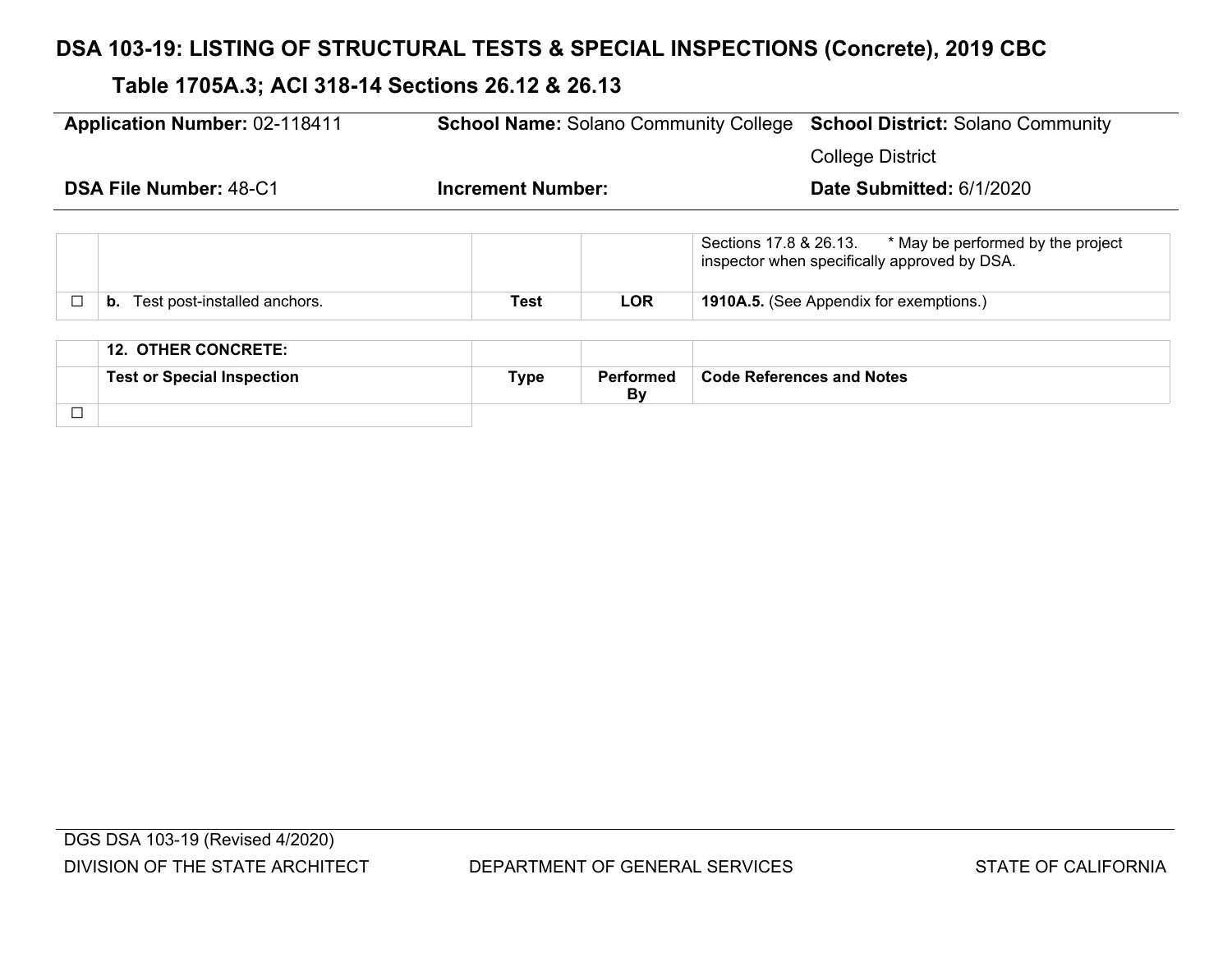# **DSA 103-19: LISTING OF STRUCTURAL TESTS & SPECIAL INSPECTIONS (Concrete), 2019 CBC**

# **Table 1705A.3; ACI 318-14 Sections 26.12 & 26.13**

| <b>Application Number: 02-118411</b> |                                    |                          |            | <b>School Name: Solano Community College School District: Solano Community</b>                              |
|--------------------------------------|------------------------------------|--------------------------|------------|-------------------------------------------------------------------------------------------------------------|
|                                      |                                    |                          |            | <b>College District</b>                                                                                     |
| <b>DSA File Number: 48-C1</b>        |                                    | <b>Increment Number:</b> |            | Date Submitted: 6/1/2020                                                                                    |
|                                      |                                    |                          |            | * May be performed by the project<br>Sections 17.8 & 26.13.<br>inspector when specifically approved by DSA. |
| $\Box$                               | Test post-installed anchors.<br>b. | Test                     | <b>LOR</b> | <b>1910A.5.</b> (See Appendix for exemptions.)                                                              |
|                                      |                                    |                          |            |                                                                                                             |
|                                      | <b>12. OTHER CONCRETE:</b>         |                          |            |                                                                                                             |
|                                      |                                    |                          |            |                                                                                                             |

|                          | Test oı<br>tıor | ۲wn م<br>THE | <u> D∧.</u><br>∩rmar<br>D' | nd Notes<br>Code |
|--------------------------|-----------------|--------------|----------------------------|------------------|
| $\overline{\phantom{a}}$ |                 |              |                            |                  |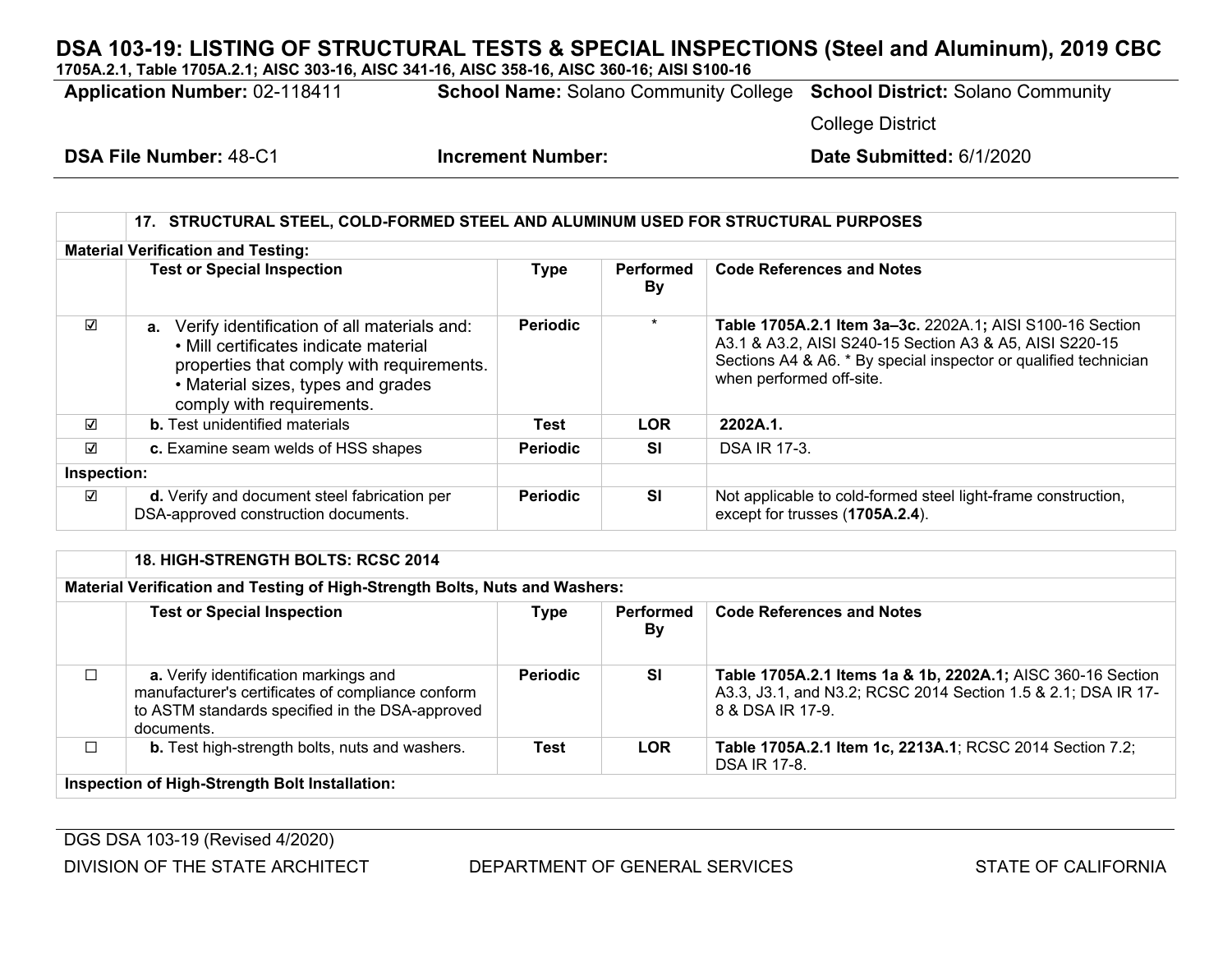**1705A.2.1, Table 1705A.2.1; AISC 303-16, AISC 341-16, AISC 358-16, AISC 360-16; AISI S100-16**

**Application Number:** 02-118411 **School Name:** Solano Community College **School District:** Solano Community

College District

**DSA File Number:** 48-C1 **Increment Number: Date Submitted:** 6/1/2020

#### **17. STRUCTURAL STEEL, COLD-FORMED STEEL AND ALUMINUM USED FOR STRUCTURAL PURPOSES Material Verification and Testing: Test or Special Inspection Type Performed By Code References and Notes** ☑ **a.** Verify identification of all materials and: • Mill certificates indicate material properties that comply with requirements. • Material sizes, types and grades comply with requirements. **Periodic** \* **Table 1705A.2.1 Item 3a‒3c.** 2202A.1**;** AISI S100-16 Section A3.1 & A3.2, AISI S240-15 Section A3 & A5, AISI S220-15 Sections A4 & A6. \* By special inspector or qualified technician when performed off-site. ☑ **b.** Test unidentified materials **Test LOR 2202A.1.** ☐ **c.** Examine seam welds of HSS shapes **Periodic SI** DSA IR 17-3. **Inspection:** ☑ **d.** Verify and document steel fabrication per DSA-approved construction documents. **Periodic SI** Not applicable to cold-formed steel light-frame construction, except for trusses (**1705A.2.4**). ☑

|        | <b>18. HIGH-STRENGTH BOLTS: RCSC 2014</b>                                                                                                                   |                 |                 |                                                                                                                                                  |  |
|--------|-------------------------------------------------------------------------------------------------------------------------------------------------------------|-----------------|-----------------|--------------------------------------------------------------------------------------------------------------------------------------------------|--|
|        | Material Verification and Testing of High-Strength Bolts, Nuts and Washers:                                                                                 |                 |                 |                                                                                                                                                  |  |
|        | <b>Test or Special Inspection</b>                                                                                                                           | <b>Type</b>     | Performed<br>By | <b>Code References and Notes</b>                                                                                                                 |  |
| $\Box$ | a. Verify identification markings and<br>manufacturer's certificates of compliance conform<br>to ASTM standards specified in the DSA-approved<br>documents. | <b>Periodic</b> | <b>SI</b>       | Table 1705A.2.1 Items 1a & 1b, 2202A.1; AISC 360-16 Section<br>A3.3, J3.1, and N3.2; RCSC 2014 Section 1.5 & 2.1; DSA IR 17-<br>8 & DSA IR 17-9. |  |
| П      | <b>b.</b> Test high-strength bolts, nuts and washers.                                                                                                       | <b>Test</b>     | <b>LOR</b>      | Table 1705A.2.1 Item 1c, 2213A.1; RCSC 2014 Section 7.2;<br><b>DSA IR 17-8.</b>                                                                  |  |
|        | Inspection of High-Strength Bolt Installation:                                                                                                              |                 |                 |                                                                                                                                                  |  |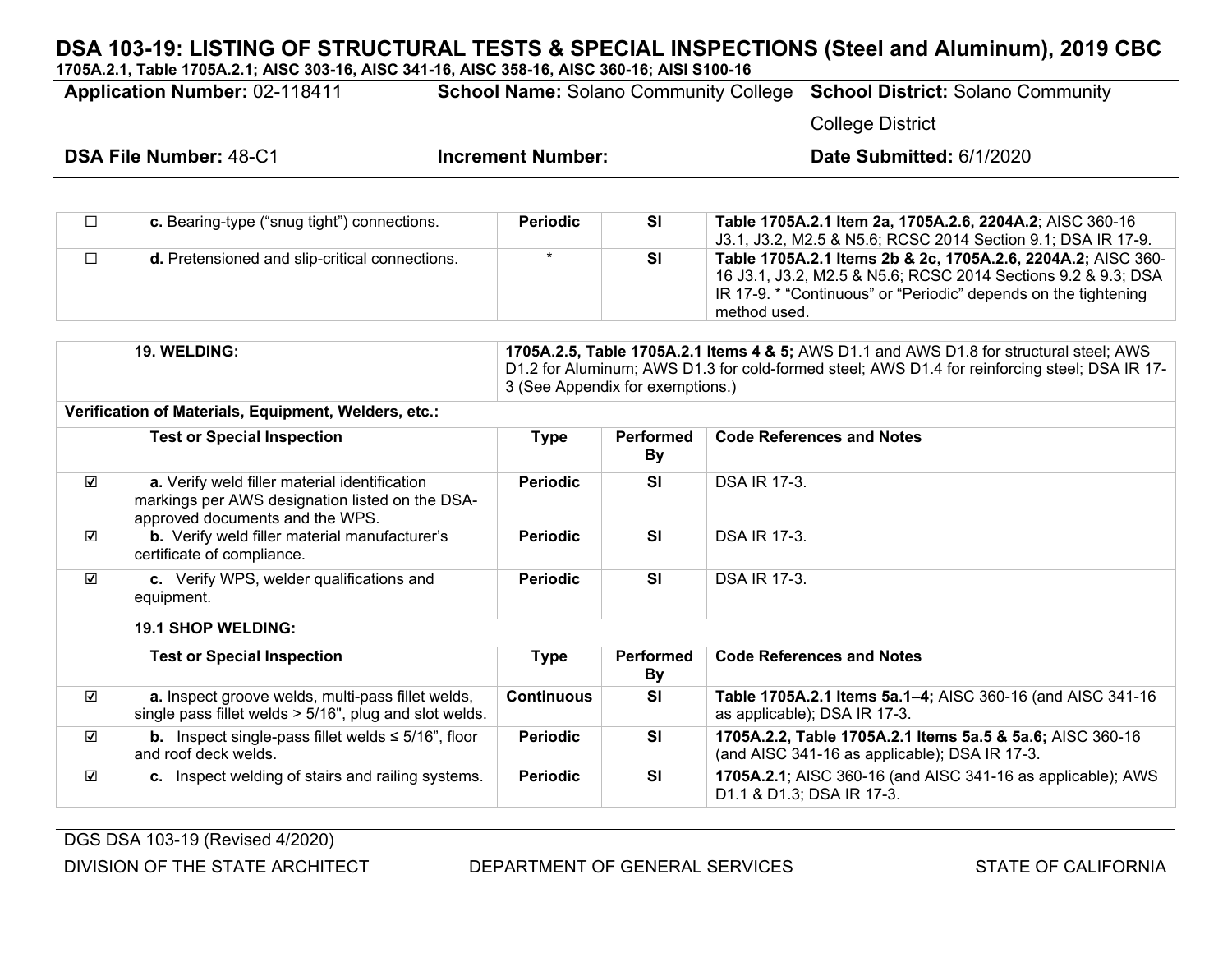**1705A.2.1, Table 1705A.2.1; AISC 303-16, AISC 341-16, AISC 358-16, AISC 360-16; AISI S100-16**

**Application Number:** 02-118411 **School Name:** Solano Community College **School District:** Solano Community

College District

| $\Box$ | c. Bearing-type ("snug tight") connections.    | <b>Periodic</b> | <b>SI</b> | Table 1705A.2.1 Item 2a, 1705A.2.6, 2204A.2; AISC 360-16<br>$\vert$ J3.1, J3.2, M2.5 & N5.6; RCSC 2014 Section 9.1; DSA IR 17-9.                                                                                 |
|--------|------------------------------------------------|-----------------|-----------|------------------------------------------------------------------------------------------------------------------------------------------------------------------------------------------------------------------|
| $\Box$ | d. Pretensioned and slip-critical connections. |                 | SI        | Table 1705A.2.1 Items 2b & 2c, 1705A.2.6, 2204A.2; AISC 360-<br>16 J3.1, J3.2, M2.5 & N5.6; RCSC 2014 Sections 9.2 & 9.3; DSA<br>IR 17-9. * "Continuous" or "Periodic" depends on the tightening<br>method used. |

|                         | <b>19. WELDING:</b>                                                                                                                 | 1705A.2.5, Table 1705A.2.1 Items 4 & 5; AWS D1.1 and AWS D1.8 for structural steel; AWS<br>D1.2 for Aluminum; AWS D1.3 for cold-formed steel; AWS D1.4 for reinforcing steel; DSA IR 17-<br>3 (See Appendix for exemptions.) |                               |                                                                                                            |  |  |
|-------------------------|-------------------------------------------------------------------------------------------------------------------------------------|------------------------------------------------------------------------------------------------------------------------------------------------------------------------------------------------------------------------------|-------------------------------|------------------------------------------------------------------------------------------------------------|--|--|
|                         | Verification of Materials, Equipment, Welders, etc.:                                                                                |                                                                                                                                                                                                                              |                               |                                                                                                            |  |  |
|                         | <b>Test or Special Inspection</b>                                                                                                   | Type                                                                                                                                                                                                                         | <b>Performed</b><br><b>By</b> | <b>Code References and Notes</b>                                                                           |  |  |
| ☑                       | a. Verify weld filler material identification<br>markings per AWS designation listed on the DSA-<br>approved documents and the WPS. | <b>Periodic</b>                                                                                                                                                                                                              | <b>SI</b>                     | <b>DSA IR 17-3.</b>                                                                                        |  |  |
| ☑                       | <b>b.</b> Verify weld filler material manufacturer's<br>certificate of compliance.                                                  | <b>Periodic</b>                                                                                                                                                                                                              | <b>SI</b>                     | <b>DSA IR 17-3.</b>                                                                                        |  |  |
| ☑                       | c. Verify WPS, welder qualifications and<br>equipment.                                                                              | <b>Periodic</b>                                                                                                                                                                                                              | <b>SI</b>                     | <b>DSA IR 17-3.</b>                                                                                        |  |  |
|                         | <b>19.1 SHOP WELDING:</b>                                                                                                           |                                                                                                                                                                                                                              |                               |                                                                                                            |  |  |
|                         | <b>Test or Special Inspection</b>                                                                                                   | Type                                                                                                                                                                                                                         | Performed<br><b>By</b>        | <b>Code References and Notes</b>                                                                           |  |  |
| $\overline{\mathbf{v}}$ | a. Inspect groove welds, multi-pass fillet welds,<br>single pass fillet welds $> 5/16$ ", plug and slot welds.                      | <b>Continuous</b>                                                                                                                                                                                                            | SI                            | Table 1705A.2.1 Items 5a.1-4; AISC 360-16 (and AISC 341-16<br>as applicable); DSA IR 17-3.                 |  |  |
| $\overline{\mathsf{v}}$ | <b>b.</b> Inspect single-pass fillet welds $\leq$ 5/16", floor<br>and roof deck welds.                                              | <b>Periodic</b>                                                                                                                                                                                                              | <b>SI</b>                     | 1705A.2.2, Table 1705A.2.1 Items 5a.5 & 5a.6; AISC 360-16<br>(and AISC 341-16 as applicable); DSA IR 17-3. |  |  |
| $\overline{\mathsf{v}}$ | c. Inspect welding of stairs and railing systems.                                                                                   | <b>Periodic</b>                                                                                                                                                                                                              | <b>SI</b>                     | <b>1705A.2.1; AISC 360-16 (and AISC 341-16 as applicable); AWS</b><br>D1.1 & D1.3; DSA IR 17-3.            |  |  |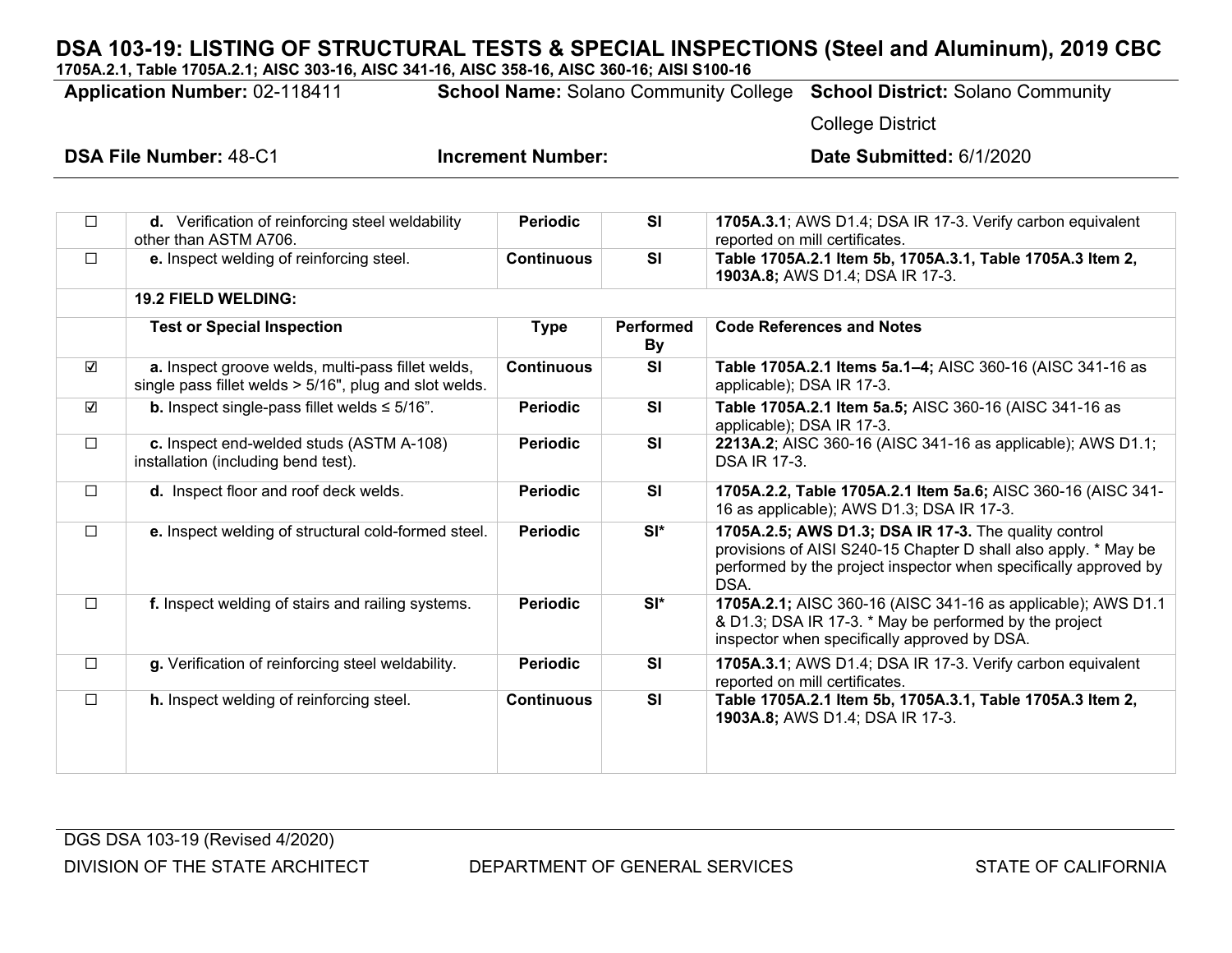**1705A.2.1, Table 1705A.2.1; AISC 303-16, AISC 341-16, AISC 358-16, AISC 360-16; AISI S100-16 Application Number:** 02-118411 **School Name:** Solano Community College **School District:** Solano Community College District **DSA File Number:** 48-C1 **Increment Number: Date Submitted:** 6/1/2020 ☐ **d.** Verification of reinforcing steel weldability other than ASTM A706. **Periodic SI 1705A.3.1; AWS D1.4; DSA IR 17-3. Verify carbon equivalent** reported on mill certificates. ☐ **e.** Inspect welding of reinforcing steel. **Continuous SI Table 1705A.2.1 Item 5b, 1705A.3.1, Table 1705A.3 Item 2, 1903A.8;** AWS D1.4; DSA IR 17-3. **19.2 FIELD WELDING: Test or Special Inspection Type Performed By Code References and Notes** ☑ **a.** Inspect groove welds, multi-pass fillet welds, single pass fillet welds > 5/16", plug and slot welds. **Continuous SI Table 1705A.2.1 Items 5a.1‒4;** AISC 360-16 (AISC 341-16 as applicable); DSA IR 17-3. ☑ **b.** Inspect single-pass fillet welds ≤ 5/16". **Periodic SI Table 1705A.2.1 Item 5a.5;** AISC 360-16 (AISC 341-16 as applicable); DSA IR 17-3. ☐ **c.** Inspect end-welded studs (ASTM A-108) installation (including bend test). **Periodic SI 2213A.2**; AISC 360-16 (AISC 341-16 as applicable); AWS D1.1; DSA IR 17-3. ☐ **d.** Inspect floor and roof deck welds. **Periodic SI 1705A.2.2, Table 1705A.2.1 Item 5a.6;** AISC 360-16 (AISC 341- 16 as applicable); AWS D1.3; DSA IR 17-3. ☐ **e.** Inspect welding of structural cold-formed steel. **Periodic SI\* 1705A.2.5; AWS D1.3; DSA IR 17-3.** The quality control provisions of AISI S240-15 Chapter D shall also apply. \* May be performed by the project inspector when specifically approved by DSA. ☐ **f.** Inspect welding of stairs and railing systems. **Periodic SI\* 1705A.2.1;** AISC 360-16 (AISC 341-16 as applicable); AWS D1.1 & D1.3; DSA IR 17-3. \* May be performed by the project inspector when specifically approved by DSA. ☐ **g.** Verification of reinforcing steel weldability. **Periodic SI 1705A.3.1**; AWS D1.4; DSA IR 17-3. Verify carbon equivalent reported on mill certificates. ☐ **h.** Inspect welding of reinforcing steel. **Continuous SI Table 1705A.2.1 Item 5b, 1705A.3.1, Table 1705A.3 Item 2, 1903A.8;** AWS D1.4; DSA IR 17-3.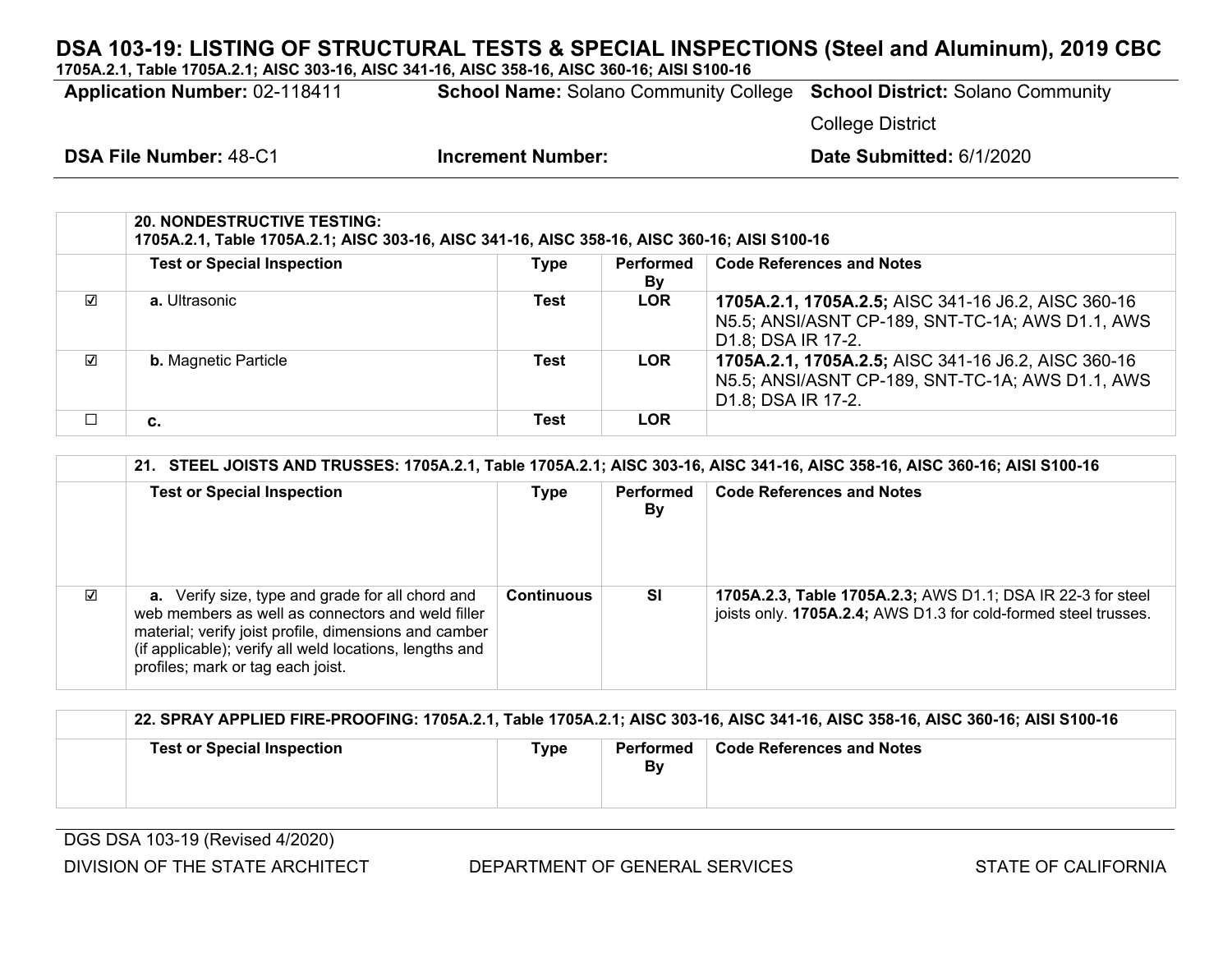**1705A.2.1, Table 1705A.2.1; AISC 303-16, AISC 341-16, AISC 358-16, AISC 360-16; AISI S100-16**

**Application Number:** 02-118411 **School Name:** Solano Community College **School District:** Solano Community

College District

|   | <b>20. NONDESTRUCTIVE TESTING:</b><br>1705A.2.1, Table 1705A.2.1; AISC 303-16, AISC 341-16, AISC 358-16, AISC 360-16; AISI S100-16 |             |                 |                                                                                                                               |  |  |
|---|------------------------------------------------------------------------------------------------------------------------------------|-------------|-----------------|-------------------------------------------------------------------------------------------------------------------------------|--|--|
|   | <b>Test or Special Inspection</b>                                                                                                  | <b>Type</b> | Performed<br>By | <b>Code References and Notes</b>                                                                                              |  |  |
| ☑ | a. Ultrasonic                                                                                                                      | Test        | <b>LOR</b>      | 1705A.2.1, 1705A.2.5; AISC 341-16 J6.2, AISC 360-16<br>N5.5; ANSI/ASNT CP-189, SNT-TC-1A; AWS D1.1, AWS<br>D1.8; DSA IR 17-2. |  |  |
| ☑ | <b>b.</b> Magnetic Particle                                                                                                        | Test        | <b>LOR</b>      | 1705A.2.1, 1705A.2.5; AISC 341-16 J6.2, AISC 360-16<br>N5.5; ANSI/ASNT CP-189, SNT-TC-1A; AWS D1.1, AWS<br>D1.8; DSA IR 17-2. |  |  |
|   | c.                                                                                                                                 | Test        | <b>LOR</b>      |                                                                                                                               |  |  |

|                         | 21. STEEL JOISTS AND TRUSSES: 1705A.2.1, Table 1705A.2.1; AISC 303-16, AISC 341-16, AISC 358-16, AISC 360-16; AISI S100-16                                                                                                                                            |                   |                 |                                                                                                                                |  |  |
|-------------------------|-----------------------------------------------------------------------------------------------------------------------------------------------------------------------------------------------------------------------------------------------------------------------|-------------------|-----------------|--------------------------------------------------------------------------------------------------------------------------------|--|--|
|                         | <b>Test or Special Inspection</b>                                                                                                                                                                                                                                     | <b>Type</b>       | Performed<br>By | <b>Code References and Notes</b>                                                                                               |  |  |
| $\overline{\mathbf{v}}$ | <b>a.</b> Verify size, type and grade for all chord and<br>web members as well as connectors and weld filler<br>material; verify joist profile, dimensions and camber<br>(if applicable); verify all weld locations, lengths and<br>profiles; mark or tag each joist. | <b>Continuous</b> | SI              | 1705A.2.3, Table 1705A.2.3; AWS D1.1; DSA IR 22-3 for steel<br>joists only. 1705A.2.4; AWS D1.3 for cold-formed steel trusses. |  |  |

|                                   |      |                 | 22. SPRAY APPLIED FIRE-PROOFING: 1705A.2.1, Table 1705A.2.1; AISC 303-16, AISC 341-16, AISC 358-16, AISC 360-16; AISI S100-16 |
|-----------------------------------|------|-----------------|-------------------------------------------------------------------------------------------------------------------------------|
| <b>Test or Special Inspection</b> | Tvpe | Performed<br>B٧ | <b>Code References and Notes</b>                                                                                              |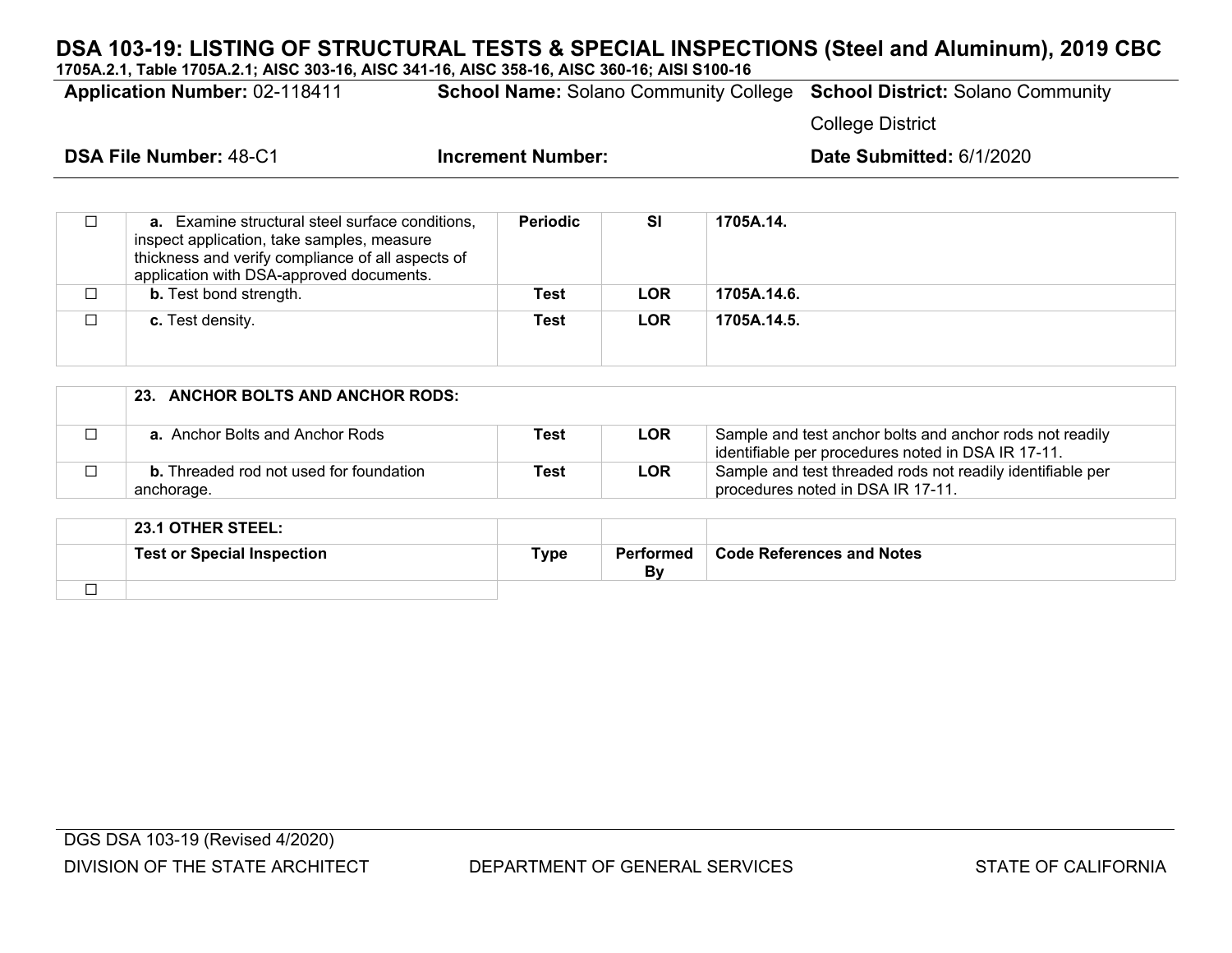**1705A.2.1, Table 1705A.2.1; AISC 303-16, AISC 341-16, AISC 358-16, AISC 360-16; AISI S100-16**

| <b>Application Number: 02-118411</b> |                                                                                                      |                          |           |           | <b>School Name: Solano Community College School District: Solano Community</b> |  |
|--------------------------------------|------------------------------------------------------------------------------------------------------|--------------------------|-----------|-----------|--------------------------------------------------------------------------------|--|
|                                      |                                                                                                      |                          |           |           | <b>College District</b>                                                        |  |
| <b>DSA File Number: 48-C1</b>        |                                                                                                      | <b>Increment Number:</b> |           |           | Date Submitted: 6/1/2020                                                       |  |
|                                      |                                                                                                      |                          |           |           |                                                                                |  |
|                                      | <b>a.</b> Examine structural steel surface conditions,<br>inspect application, take samples, measure | <b>Periodic</b>          | <b>SI</b> | 1705A.14. |                                                                                |  |

|   | thickness and verify compliance of all aspects of<br>application with DSA-approved documents. |      |            |             |
|---|-----------------------------------------------------------------------------------------------|------|------------|-------------|
| └ | <b>b.</b> Test bond strength.                                                                 | Test | <b>LOR</b> | 1705A.14.6. |
|   | <b>c.</b> Test density.                                                                       | Test | <b>LOR</b> | 1705A.14.5. |

| 23. ANCHOR BOLTS AND ANCHOR RODS:                            |      |            |                                                                                                                |
|--------------------------------------------------------------|------|------------|----------------------------------------------------------------------------------------------------------------|
| <b>a.</b> Anchor Bolts and Anchor Rods                       | Test | <b>LOR</b> | Sample and test anchor bolts and anchor rods not readily<br>identifiable per procedures noted in DSA IR 17-11. |
| <b>b.</b> Threaded rod not used for foundation<br>anchorage. | Test | <b>LOR</b> | Sample and test threaded rods not readily identifiable per<br>procedures noted in DSA IR 17-11.                |

|   | <b>23.1 OTHER STEEL:</b>          |      |                 |                                  |
|---|-----------------------------------|------|-----------------|----------------------------------|
|   | <b>Test or Special Inspection</b> | Туре | Performed<br>Bv | <b>Code References and Notes</b> |
| _ |                                   |      |                 |                                  |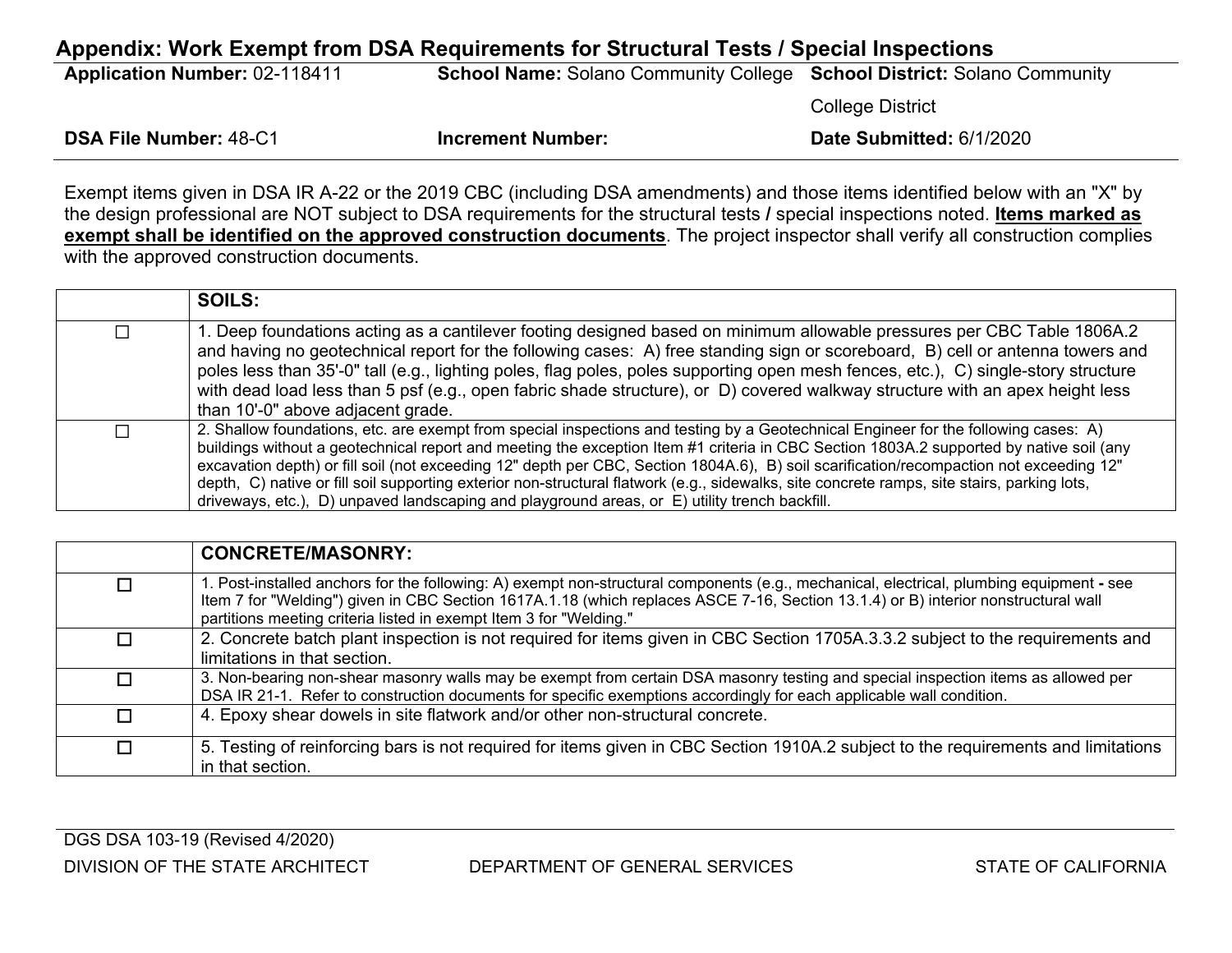# **Appendix: Work Exempt from DSA Requirements for Structural Tests / Special Inspections Application Number:** 02-118411 **School Name:** Solano Community College **School District:** Solano Community College District

| <b>DSA File Number: 48-C1</b> | <b>Increment Number:</b> | Date Submitted: 6/1/2020 |
|-------------------------------|--------------------------|--------------------------|
|                               |                          |                          |

Exempt items given in DSA IR A-22 or the 2019 CBC (including DSA amendments) and those items identified below with an "X" by the design professional are NOT subject to DSA requirements for the structural tests **/** special inspections noted. **Items marked as exempt shall be identified on the approved construction documents**. The project inspector shall verify all construction complies with the approved construction documents.

|   | <b>SOILS:</b>                                                                                                                                                                                                                                                                                                                                                                                                                                                                                                                                                                                                                                                             |
|---|---------------------------------------------------------------------------------------------------------------------------------------------------------------------------------------------------------------------------------------------------------------------------------------------------------------------------------------------------------------------------------------------------------------------------------------------------------------------------------------------------------------------------------------------------------------------------------------------------------------------------------------------------------------------------|
| П | 1. Deep foundations acting as a cantilever footing designed based on minimum allowable pressures per CBC Table 1806A.2<br>and having no geotechnical report for the following cases: A) free standing sign or scoreboard, B) cell or antenna towers and<br>poles less than 35'-0" tall (e.g., lighting poles, flag poles, poles supporting open mesh fences, etc.), C) single-story structure<br>with dead load less than 5 psf (e.g., open fabric shade structure), or D) covered walkway structure with an apex height less<br>than 10'-0" above adjacent grade.                                                                                                        |
| ⊓ | 2. Shallow foundations, etc. are exempt from special inspections and testing by a Geotechnical Engineer for the following cases: A)<br>buildings without a geotechnical report and meeting the exception Item #1 criteria in CBC Section 1803A.2 supported by native soil (any<br>excavation depth) or fill soil (not exceeding 12" depth per CBC, Section 1804A.6), B) soil scarification/recompaction not exceeding 12"<br>depth, C) native or fill soil supporting exterior non-structural flatwork (e.g., sidewalks, site concrete ramps, site stairs, parking lots,<br>driveways, etc.), D) unpaved landscaping and playground areas, or E) utility trench backfill. |

|   | <b>CONCRETE/MASONRY:</b>                                                                                                                                                                                                                                                                                                                             |
|---|------------------------------------------------------------------------------------------------------------------------------------------------------------------------------------------------------------------------------------------------------------------------------------------------------------------------------------------------------|
| П | 1. Post-installed anchors for the following: A) exempt non-structural components (e.g., mechanical, electrical, plumbing equipment - see<br>Item 7 for "Welding") given in CBC Section 1617A.1.18 (which replaces ASCE 7-16, Section 13.1.4) or B) interior nonstructural wall<br>partitions meeting criteria listed in exempt Item 3 for "Welding." |
| П | 2. Concrete batch plant inspection is not required for items given in CBC Section 1705A.3.3.2 subject to the requirements and<br>limitations in that section.                                                                                                                                                                                        |
| П | 3. Non-bearing non-shear masonry walls may be exempt from certain DSA masonry testing and special inspection items as allowed per<br>DSA IR 21-1. Refer to construction documents for specific exemptions accordingly for each applicable wall condition.                                                                                            |
| П | 4. Epoxy shear dowels in site flatwork and/or other non-structural concrete.                                                                                                                                                                                                                                                                         |
| П | 5. Testing of reinforcing bars is not required for items given in CBC Section 1910A.2 subject to the requirements and limitations<br>in that section.                                                                                                                                                                                                |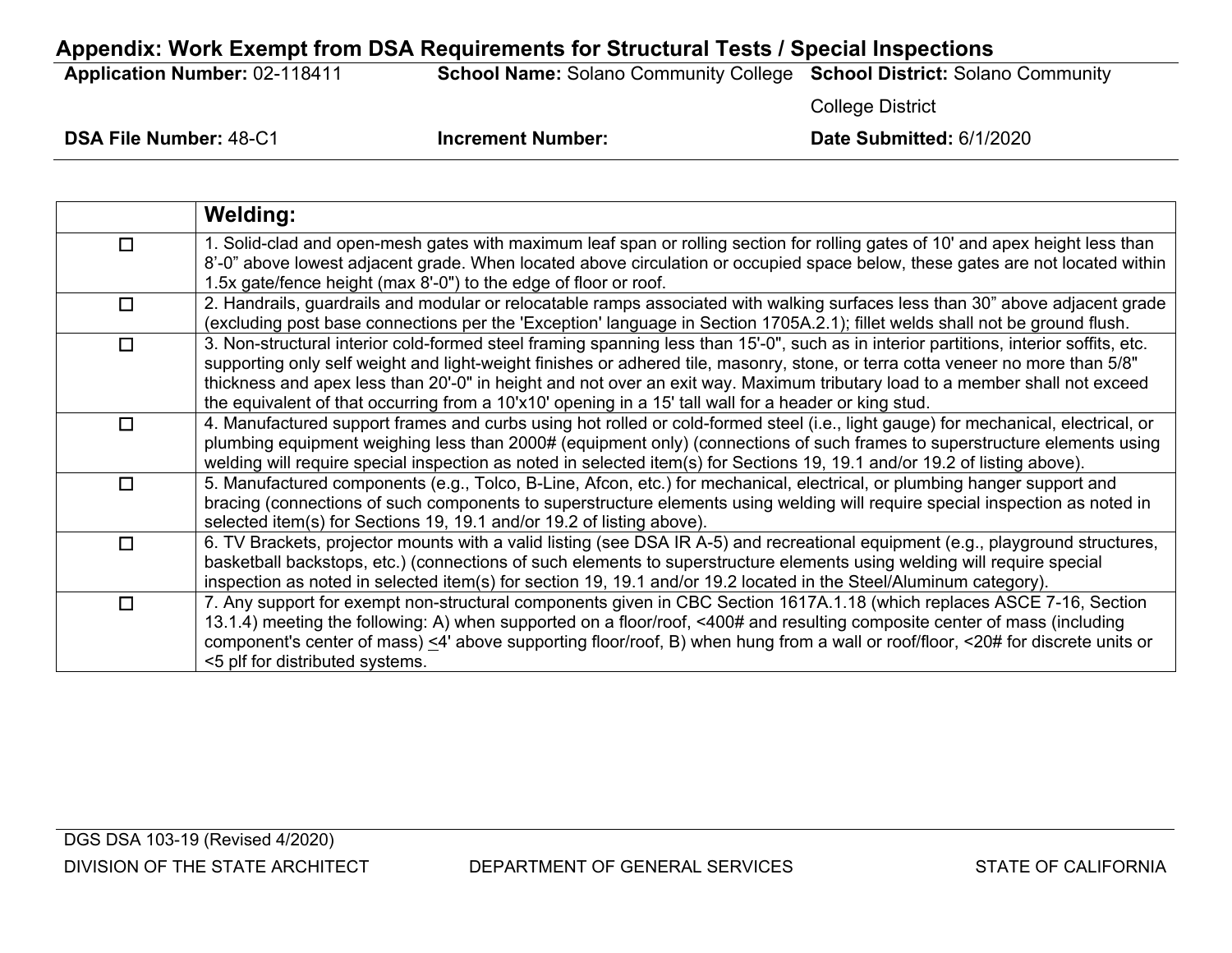## **Appendix: Work Exempt from DSA Requirements for Structural Tests / Special Inspections**

**Application Number:** 02-118411 **School Name:** Solano Community College **School District:** Solano Community

College District

|        | <b>Welding:</b>                                                                                                                                                                                                                                                                                                                                                                                                                                                                                                  |
|--------|------------------------------------------------------------------------------------------------------------------------------------------------------------------------------------------------------------------------------------------------------------------------------------------------------------------------------------------------------------------------------------------------------------------------------------------------------------------------------------------------------------------|
| $\Box$ | 1. Solid-clad and open-mesh gates with maximum leaf span or rolling section for rolling gates of 10' and apex height less than<br>8'-0" above lowest adjacent grade. When located above circulation or occupied space below, these gates are not located within<br>1.5x gate/fence height (max 8'-0") to the edge of floor or roof.                                                                                                                                                                              |
| $\Box$ | 2. Handrails, guardrails and modular or relocatable ramps associated with walking surfaces less than 30" above adjacent grade<br>(excluding post base connections per the 'Exception' language in Section 1705A.2.1); fillet welds shall not be ground flush.                                                                                                                                                                                                                                                    |
| $\Box$ | 3. Non-structural interior cold-formed steel framing spanning less than 15'-0", such as in interior partitions, interior soffits, etc.<br>supporting only self weight and light-weight finishes or adhered tile, masonry, stone, or terra cotta veneer no more than 5/8"<br>thickness and apex less than 20'-0" in height and not over an exit way. Maximum tributary load to a member shall not exceed<br>the equivalent of that occurring from a 10'x10' opening in a 15' tall wall for a header or king stud. |
| $\Box$ | 4. Manufactured support frames and curbs using hot rolled or cold-formed steel (i.e., light gauge) for mechanical, electrical, or<br>plumbing equipment weighing less than 2000# (equipment only) (connections of such frames to superstructure elements using<br>welding will require special inspection as noted in selected item(s) for Sections 19, 19.1 and/or 19.2 of listing above).                                                                                                                      |
| $\Box$ | 5. Manufactured components (e.g., Tolco, B-Line, Afcon, etc.) for mechanical, electrical, or plumbing hanger support and<br>bracing (connections of such components to superstructure elements using welding will require special inspection as noted in<br>selected item(s) for Sections 19, 19.1 and/or 19.2 of listing above).                                                                                                                                                                                |
| $\Box$ | 6. TV Brackets, projector mounts with a valid listing (see DSA IR A-5) and recreational equipment (e.g., playground structures,<br>basketball backstops, etc.) (connections of such elements to superstructure elements using welding will require special<br>inspection as noted in selected item(s) for section 19, 19.1 and/or 19.2 located in the Steel/Aluminum category).                                                                                                                                  |
| $\Box$ | 7. Any support for exempt non-structural components given in CBC Section 1617A.1.18 (which replaces ASCE 7-16, Section<br>13.1.4) meeting the following: A) when supported on a floor/roof, <400# and resulting composite center of mass (including<br>component's center of mass) $\leq 4$ above supporting floor/roof, B) when hung from a wall or roof/floor, $\leq 20$ # for discrete units or<br><5 plf for distributed systems.                                                                            |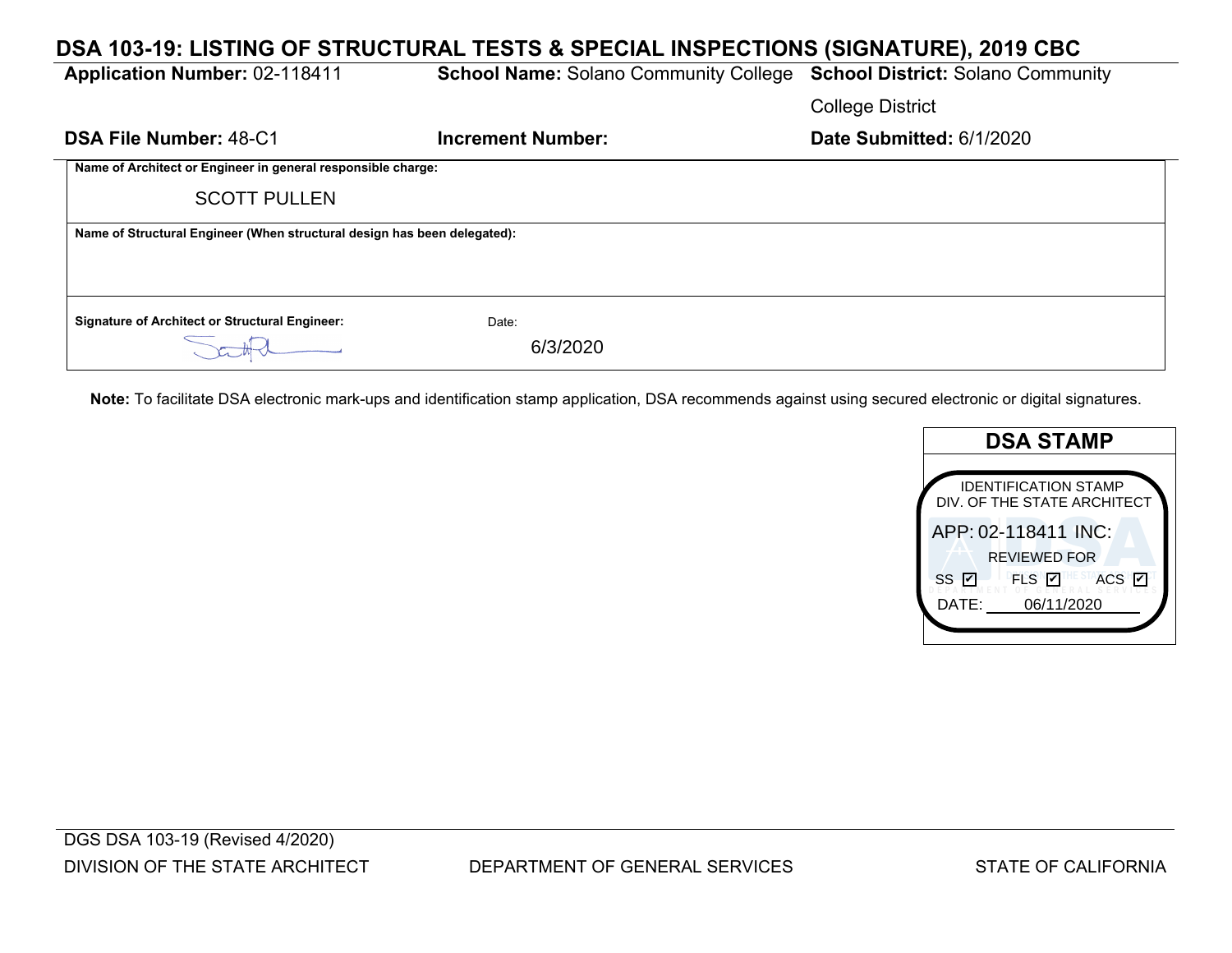| DSA 103-19: LISTING OF STRUCTURAL TESTS & SPECIAL INSPECTIONS (SIGNATURE), 2019 CBC |                                                                                |                          |  |  |  |  |
|-------------------------------------------------------------------------------------|--------------------------------------------------------------------------------|--------------------------|--|--|--|--|
| <b>Application Number: 02-118411</b>                                                | <b>School Name: Solano Community College School District: Solano Community</b> |                          |  |  |  |  |
|                                                                                     |                                                                                | <b>College District</b>  |  |  |  |  |
| <b>DSA File Number: 48-C1</b>                                                       | <b>Increment Number:</b>                                                       | Date Submitted: 6/1/2020 |  |  |  |  |
| Name of Architect or Engineer in general responsible charge:                        |                                                                                |                          |  |  |  |  |
| <b>SCOTT PULLEN</b>                                                                 |                                                                                |                          |  |  |  |  |
| Name of Structural Engineer (When structural design has been delegated):            |                                                                                |                          |  |  |  |  |
|                                                                                     |                                                                                |                          |  |  |  |  |
| <b>Signature of Architect or Structural Engineer:</b>                               | Date:                                                                          |                          |  |  |  |  |
|                                                                                     | 6/3/2020                                                                       |                          |  |  |  |  |

**Note:** To facilitate DSA electronic mark-ups and identification stamp application, DSA recommends against using secured electronic or digital signatures.

| <b>DSA STAMP</b>                                           |  |  |
|------------------------------------------------------------|--|--|
|                                                            |  |  |
| <b>IDENTIFICATION STAMP</b><br>DIV. OF THE STATE ARCHITECT |  |  |
| APP: 02-118411 INC:                                        |  |  |
| <b>REVIEWED FOR</b>                                        |  |  |
| <b>ESTACS</b><br>ss <b></b><br>FLS V                       |  |  |
| 06/11/2020<br>DATE:                                        |  |  |
|                                                            |  |  |